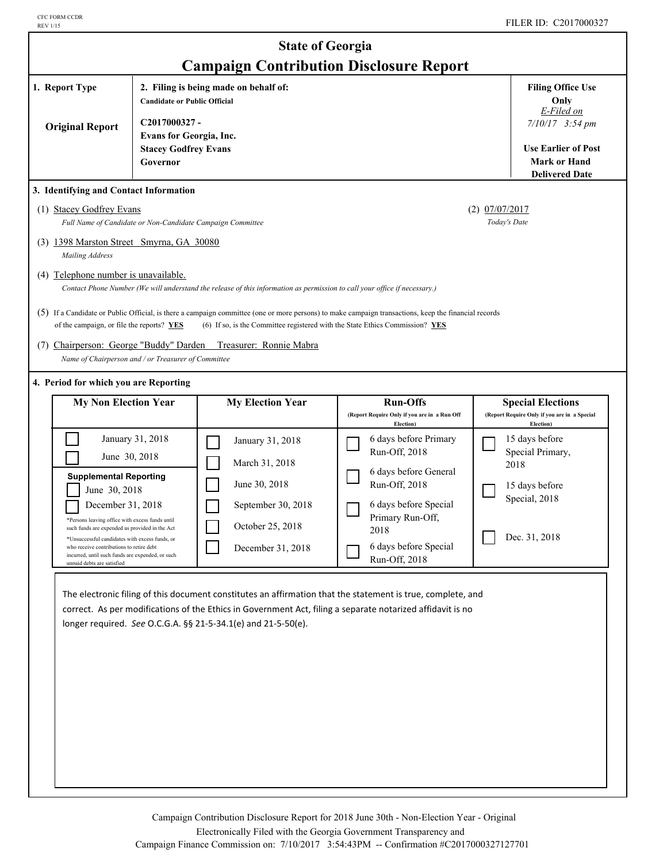| <b>State of Georgia</b><br><b>Campaign Contribution Disclosure Report</b>                                                                                                                                                                                                                                                                                                                                                                                                                                                                                                                                                                                                                                                                                                                                                                          |                                                                                           |                                                                                                                                                                                                                                                                                            |                                                                                                                                                                                              |  |                                                                                                             |  |  |
|----------------------------------------------------------------------------------------------------------------------------------------------------------------------------------------------------------------------------------------------------------------------------------------------------------------------------------------------------------------------------------------------------------------------------------------------------------------------------------------------------------------------------------------------------------------------------------------------------------------------------------------------------------------------------------------------------------------------------------------------------------------------------------------------------------------------------------------------------|-------------------------------------------------------------------------------------------|--------------------------------------------------------------------------------------------------------------------------------------------------------------------------------------------------------------------------------------------------------------------------------------------|----------------------------------------------------------------------------------------------------------------------------------------------------------------------------------------------|--|-------------------------------------------------------------------------------------------------------------|--|--|
| 1. Report Type                                                                                                                                                                                                                                                                                                                                                                                                                                                                                                                                                                                                                                                                                                                                                                                                                                     | <b>Candidate or Public Official</b>                                                       | 2. Filing is being made on behalf of:                                                                                                                                                                                                                                                      |                                                                                                                                                                                              |  | <b>Filing Office Use</b><br>Only<br>E-Filed on<br>$7/10/17$ 3:54 pm                                         |  |  |
| <b>Original Report</b>                                                                                                                                                                                                                                                                                                                                                                                                                                                                                                                                                                                                                                                                                                                                                                                                                             | C2017000327-<br><b>Evans for Georgia, Inc.</b><br><b>Stacey Godfrey Evans</b><br>Governor |                                                                                                                                                                                                                                                                                            |                                                                                                                                                                                              |  |                                                                                                             |  |  |
| <b>Delivered Date</b><br>3. Identifying and Contact Information<br>(1) Stacey Godfrey Evans<br>$(2)$ 07/07/2017<br>Today's Date<br>Full Name of Candidate or Non-Candidate Campaign Committee<br>(3) 1398 Marston Street Smyrna, GA 30080<br>Mailing Address<br>(4) Telephone number is unavailable.<br>Contact Phone Number (We will understand the release of this information as permission to call your office if necessary.)<br>(5) If a Candidate or Public Official, is there a campaign committee (one or more persons) to make campaign transactions, keep the financial records<br>of the campaign, or file the reports? YES<br>(6) If so, is the Committee registered with the State Ethics Commission? YES<br>(7) Chairperson: George "Buddy" Darden<br>Treasurer: Ronnie Mabra<br>Name of Chairperson and / or Treasurer of Committee |                                                                                           |                                                                                                                                                                                                                                                                                            |                                                                                                                                                                                              |  |                                                                                                             |  |  |
| 4. Period for which you are Reporting<br><b>My Non Election Year</b>                                                                                                                                                                                                                                                                                                                                                                                                                                                                                                                                                                                                                                                                                                                                                                               |                                                                                           | <b>My Election Year</b>                                                                                                                                                                                                                                                                    | <b>Run-Offs</b><br>(Report Require Only if you are in a Run Off                                                                                                                              |  | <b>Special Elections</b><br>(Report Require Only if you are in a Special                                    |  |  |
| June 30, 2018<br><b>Supplemental Reporting</b><br>June 30, 2018<br>December 31, 2018<br>*Persons leaving office with excess funds until<br>such funds are expended as provided in the Act<br>*Unsuccessful candidates with excess funds, or<br>who receive contributions to retire debt<br>incurred, until such funds are expended, or such<br>unnaid dehts are satisfied                                                                                                                                                                                                                                                                                                                                                                                                                                                                          | January 31, 2018                                                                          | January 31, 2018<br>March 31, 2018<br>June 30, 2018<br>September 30, 2018<br>October 25, 2018<br>December 31, 2018                                                                                                                                                                         | Election)<br>6 days before Primary<br>Run-Off, 2018<br>6 days before General<br>Run-Off, 2018<br>6 days before Special<br>Primary Run-Off,<br>2018<br>6 days before Special<br>Run-Off, 2018 |  | Election)<br>15 days before<br>Special Primary,<br>2018<br>15 days before<br>Special, 2018<br>Dec. 31, 2018 |  |  |
|                                                                                                                                                                                                                                                                                                                                                                                                                                                                                                                                                                                                                                                                                                                                                                                                                                                    |                                                                                           | The electronic filing of this document constitutes an affirmation that the statement is true, complete, and<br>correct. As per modifications of the Ethics in Government Act, filing a separate notarized affidavit is no<br>longer required. See O.C.G.A. §§ 21-5-34.1(e) and 21-5-50(e). |                                                                                                                                                                                              |  |                                                                                                             |  |  |

Campaign Contribution Disclosure Report for 2018 June 30th - Non-Election Year - Original Electronically Filed with the Georgia Government Transparency and Campaign Finance Commission on: 7/10/2017 3:54:43PM -- Confirmation #C2017000327127701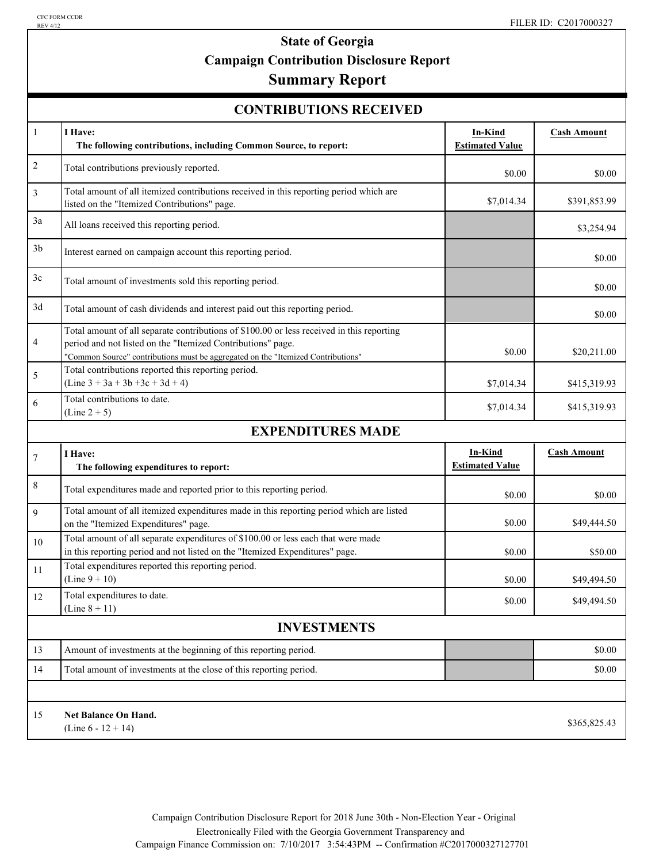# **State of Georgia Campaign Contribution Disclosure Report**

## **Summary Report**

| <b>CONTRIBUTIONS RECEIVED</b> |  |
|-------------------------------|--|
|-------------------------------|--|

| $\mathbf{1}$       | I Have:<br>The following contributions, including Common Source, to report:                                                                                                                                                                  | <b>In-Kind</b><br><b>Estimated Value</b> | <b>Cash Amount</b> |  |  |  |  |
|--------------------|----------------------------------------------------------------------------------------------------------------------------------------------------------------------------------------------------------------------------------------------|------------------------------------------|--------------------|--|--|--|--|
| $\sqrt{2}$         | Total contributions previously reported.                                                                                                                                                                                                     | \$0.00                                   | \$0.00             |  |  |  |  |
| 3                  | Total amount of all itemized contributions received in this reporting period which are<br>listed on the "Itemized Contributions" page.                                                                                                       | \$7,014.34                               | \$391,853.99       |  |  |  |  |
| 3a                 | All loans received this reporting period.                                                                                                                                                                                                    |                                          | \$3,254.94         |  |  |  |  |
| 3 <sub>b</sub>     | Interest earned on campaign account this reporting period.                                                                                                                                                                                   |                                          | \$0.00             |  |  |  |  |
| 3c                 | Total amount of investments sold this reporting period.                                                                                                                                                                                      |                                          | \$0.00             |  |  |  |  |
| 3d                 | Total amount of cash dividends and interest paid out this reporting period.                                                                                                                                                                  |                                          | \$0.00             |  |  |  |  |
| 4                  | Total amount of all separate contributions of \$100.00 or less received in this reporting<br>period and not listed on the "Itemized Contributions" page.<br>"Common Source" contributions must be aggregated on the "Itemized Contributions" | \$0.00                                   | \$20,211.00        |  |  |  |  |
| 5                  | Total contributions reported this reporting period.<br>$(Line 3 + 3a + 3b + 3c + 3d + 4)$                                                                                                                                                    | \$7,014.34                               | \$415,319.93       |  |  |  |  |
| 6                  | Total contributions to date.<br>$(Line 2 + 5)$                                                                                                                                                                                               | \$7,014.34                               | \$415,319.93       |  |  |  |  |
|                    | <b>EXPENDITURES MADE</b>                                                                                                                                                                                                                     |                                          |                    |  |  |  |  |
| $\overline{7}$     | I Have:<br>The following expenditures to report:                                                                                                                                                                                             | In-Kind<br><b>Estimated Value</b>        | <b>Cash Amount</b> |  |  |  |  |
| 8                  | Total expenditures made and reported prior to this reporting period.                                                                                                                                                                         | \$0.00                                   | \$0.00             |  |  |  |  |
| 9                  | Total amount of all itemized expenditures made in this reporting period which are listed<br>on the "Itemized Expenditures" page.                                                                                                             | \$0.00                                   | \$49,444.50        |  |  |  |  |
| 10                 | Total amount of all separate expenditures of \$100.00 or less each that were made<br>in this reporting period and not listed on the "Itemized Expenditures" page.                                                                            | \$0.00                                   | \$50.00            |  |  |  |  |
| 11                 | Total expenditures reported this reporting period.<br>$(Line 9 + 10)$                                                                                                                                                                        | \$0.00                                   | \$49,494.50        |  |  |  |  |
| 12                 | Total expenditures to date.<br>(Line $8 + 11$ )                                                                                                                                                                                              | \$0.00                                   | \$49,494.50        |  |  |  |  |
| <b>INVESTMENTS</b> |                                                                                                                                                                                                                                              |                                          |                    |  |  |  |  |
| 13                 | Amount of investments at the beginning of this reporting period.                                                                                                                                                                             |                                          | \$0.00             |  |  |  |  |
| 14                 | Total amount of investments at the close of this reporting period.                                                                                                                                                                           |                                          | \$0.00             |  |  |  |  |
|                    |                                                                                                                                                                                                                                              |                                          |                    |  |  |  |  |
| 15                 | <b>Net Balance On Hand.</b><br>(Line $6 - 12 + 14$ )                                                                                                                                                                                         |                                          | \$365,825.43       |  |  |  |  |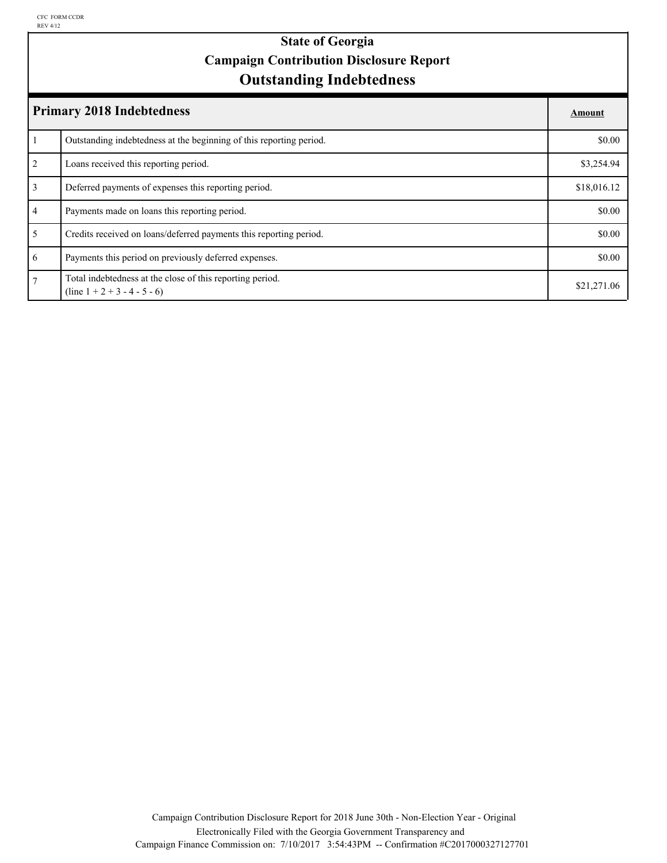## **Outstanding Indebtedness State of Georgia Campaign Contribution Disclosure Report**

|                | <b>Primary 2018 Indebtedness</b>                                                            |             |  |  |
|----------------|---------------------------------------------------------------------------------------------|-------------|--|--|
|                | Outstanding indebtedness at the beginning of this reporting period.                         | \$0.00      |  |  |
| 2              | Loans received this reporting period.                                                       | \$3,254.94  |  |  |
| $\overline{3}$ | Deferred payments of expenses this reporting period.                                        | \$18,016.12 |  |  |
| $\overline{4}$ | Payments made on loans this reporting period.                                               | \$0.00      |  |  |
| 5              | Credits received on loans/deferred payments this reporting period.                          | \$0.00      |  |  |
| 6              | Payments this period on previously deferred expenses.                                       | \$0.00      |  |  |
| $\tau$         | Total indebtedness at the close of this reporting period.<br>$(line 1 + 2 + 3 - 4 - 5 - 6)$ | \$21,271.06 |  |  |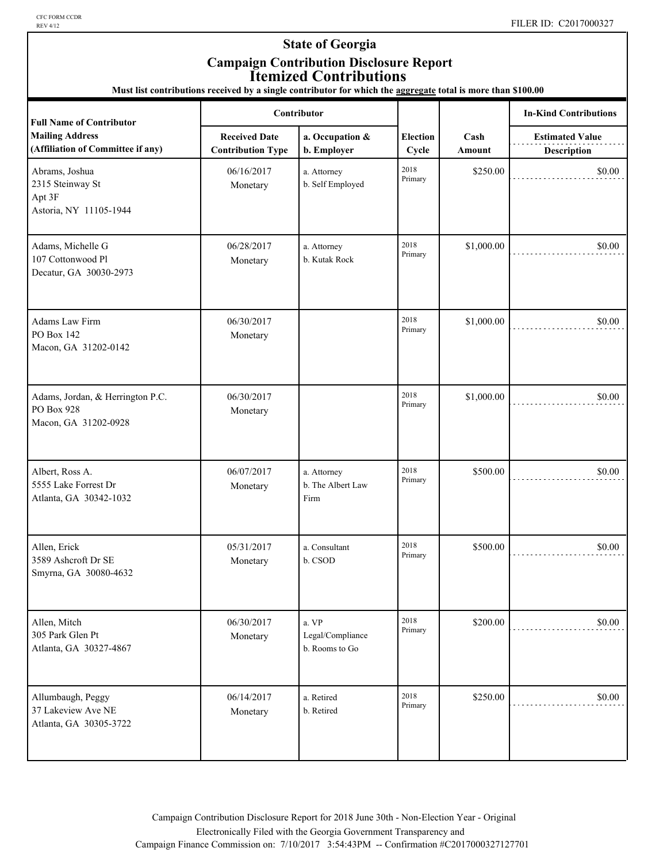CFC FORM CCDR<br>REV 4/12

### **State of Georgia Campaign Contribution Disclosure Report Itemized Contributions**

**Must list contributions received by a single contributor for which the aggregate total is more than \$100.00**

| <b>Full Name of Contributor</b>                                        | Contributor                                      |                                             |                          |                | <b>In-Kind Contributions</b>          |
|------------------------------------------------------------------------|--------------------------------------------------|---------------------------------------------|--------------------------|----------------|---------------------------------------|
| <b>Mailing Address</b><br>(Affiliation of Committee if any)            | <b>Received Date</b><br><b>Contribution Type</b> | a. Occupation &<br>b. Employer              | <b>Election</b><br>Cycle | Cash<br>Amount | <b>Estimated Value</b><br>Description |
| Abrams, Joshua<br>2315 Steinway St<br>Apt 3F<br>Astoria, NY 11105-1944 | 06/16/2017<br>Monetary                           | a. Attorney<br>b. Self Employed             | 2018<br>Primary          | \$250.00       | \$0.00                                |
| Adams, Michelle G<br>107 Cottonwood Pl<br>Decatur, GA 30030-2973       | 06/28/2017<br>Monetary                           | a. Attorney<br>b. Kutak Rock                | 2018<br>Primary          | \$1,000.00     | \$0.00                                |
| Adams Law Firm<br>PO Box 142<br>Macon, GA 31202-0142                   | 06/30/2017<br>Monetary                           |                                             | 2018<br>Primary          | \$1,000.00     | \$0.00                                |
| Adams, Jordan, & Herrington P.C.<br>PO Box 928<br>Macon, GA 31202-0928 | 06/30/2017<br>Monetary                           |                                             | 2018<br>Primary          | \$1,000.00     | \$0.00                                |
| Albert, Ross A.<br>5555 Lake Forrest Dr<br>Atlanta, GA 30342-1032      | 06/07/2017<br>Monetary                           | a. Attorney<br>b. The Albert Law<br>Firm    | 2018<br>Primary          | \$500.00       | \$0.00                                |
| Allen, Erick<br>3589 Ashcroft Dr SE<br>Smyrna, GA 30080-4632           | 05/31/2017<br>Monetary                           | a. Consultant<br>b. CSOD                    | 2018<br>Primary          | \$500.00       | \$0.00                                |
| Allen, Mitch<br>305 Park Glen Pt<br>Atlanta, GA 30327-4867             | 06/30/2017<br>Monetary                           | a. VP<br>Legal/Compliance<br>b. Rooms to Go | 2018<br>Primary          | \$200.00       | \$0.00                                |
| Allumbaugh, Peggy<br>37 Lakeview Ave NE<br>Atlanta, GA 30305-3722      | 06/14/2017<br>Monetary                           | a. Retired<br>b. Retired                    | 2018<br>Primary          | \$250.00       | \$0.00                                |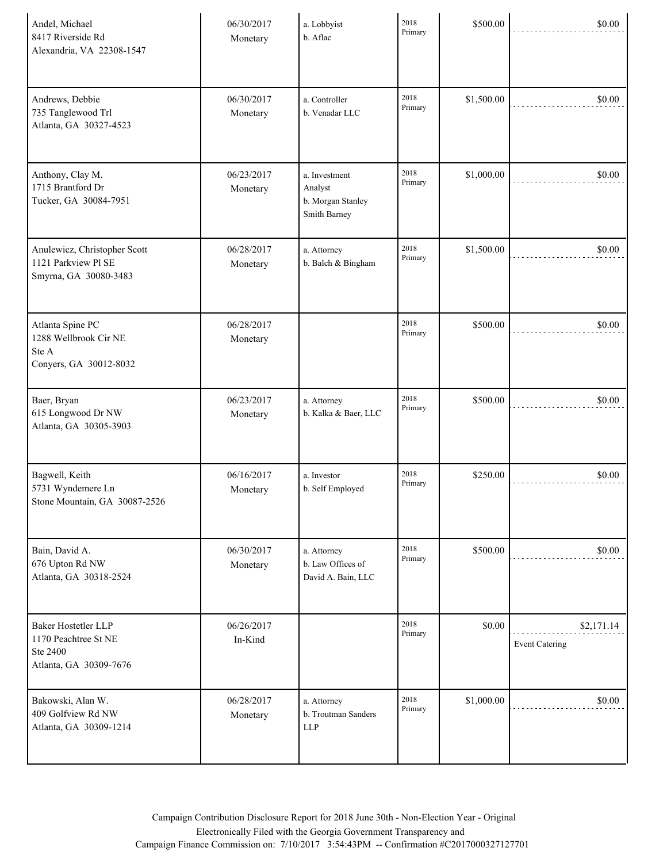| Andel, Michael<br>8417 Riverside Rd<br>Alexandria, VA 22308-1547                  | 06/30/2017<br>Monetary | a. Lobbyist<br>b. Aflac                                       | 2018<br>Primary | \$500.00   | \$0.00                              |
|-----------------------------------------------------------------------------------|------------------------|---------------------------------------------------------------|-----------------|------------|-------------------------------------|
| Andrews, Debbie<br>735 Tanglewood Trl<br>Atlanta, GA 30327-4523                   | 06/30/2017<br>Monetary | a. Controller<br>b. Venadar LLC                               | 2018<br>Primary | \$1,500.00 | \$0.00                              |
| Anthony, Clay M.<br>1715 Brantford Dr<br>Tucker, GA 30084-7951                    | 06/23/2017<br>Monetary | a. Investment<br>Analyst<br>b. Morgan Stanley<br>Smith Barney | 2018<br>Primary | \$1,000.00 | \$0.00                              |
| Anulewicz, Christopher Scott<br>1121 Parkview Pl SE<br>Smyrna, GA 30080-3483      | 06/28/2017<br>Monetary | a. Attorney<br>b. Balch $\&$ Bingham                          | 2018<br>Primary | \$1,500.00 | \$0.00                              |
| Atlanta Spine PC<br>1288 Wellbrook Cir NE<br>Ste A<br>Conyers, GA 30012-8032      | 06/28/2017<br>Monetary |                                                               | 2018<br>Primary | \$500.00   | \$0.00                              |
| Baer, Bryan<br>615 Longwood Dr NW<br>Atlanta, GA 30305-3903                       | 06/23/2017<br>Monetary | a. Attorney<br>b. Kalka & Baer, LLC                           | 2018<br>Primary | \$500.00   | \$0.00                              |
| Bagwell, Keith<br>5731 Wyndemere Ln<br>Stone Mountain, GA 30087-2526              | 06/16/2017<br>Monetary | a. Investor<br>b. Self Employed                               | 2018<br>Primary | \$250.00   | \$0.00                              |
| Bain, David A.<br>676 Upton Rd NW<br>Atlanta, GA 30318-2524                       | 06/30/2017<br>Monetary | a. Attorney<br>b. Law Offices of<br>David A. Bain, LLC        | 2018<br>Primary | \$500.00   | \$0.00                              |
| Baker Hostetler LLP<br>1170 Peachtree St NE<br>Ste 2400<br>Atlanta, GA 30309-7676 | 06/26/2017<br>In-Kind  |                                                               | 2018<br>Primary | \$0.00     | \$2,171.14<br><b>Event Catering</b> |
| Bakowski, Alan W.<br>409 Golfview Rd NW<br>Atlanta, GA 30309-1214                 | 06/28/2017<br>Monetary | a. Attorney<br>b. Troutman Sanders<br><b>LLP</b>              | 2018<br>Primary | \$1,000.00 | \$0.00                              |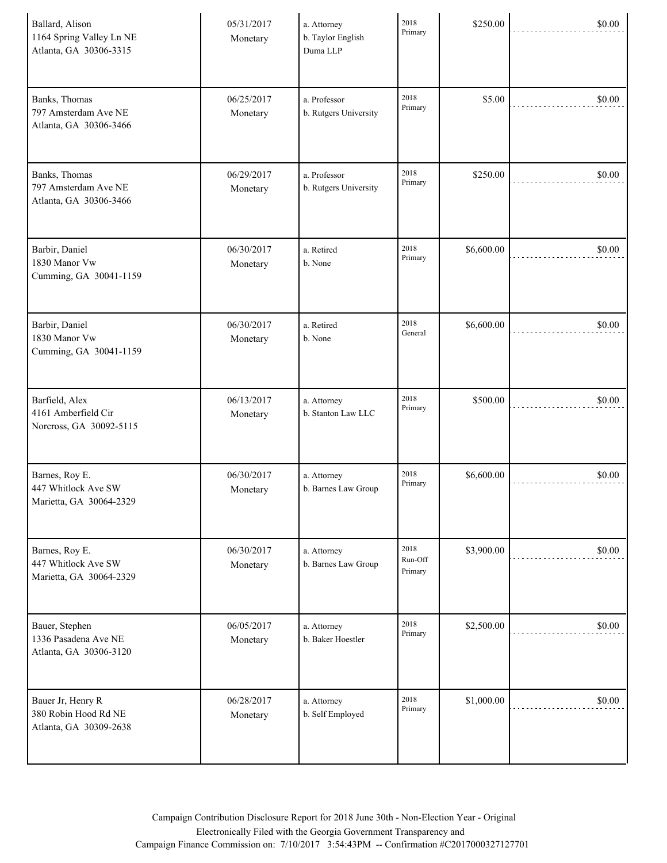| Ballard, Alison<br>1164 Spring Valley Ln NE<br>Atlanta, GA 30306-3315 | 05/31/2017<br>Monetary | a. Attorney<br>b. Taylor English<br>Duma LLP | 2018<br>Primary            | \$250.00   | \$0.00 |
|-----------------------------------------------------------------------|------------------------|----------------------------------------------|----------------------------|------------|--------|
| Banks, Thomas<br>797 Amsterdam Ave NE<br>Atlanta, GA 30306-3466       | 06/25/2017<br>Monetary | a. Professor<br>b. Rutgers University        | 2018<br>Primary            | \$5.00     | \$0.00 |
| Banks, Thomas<br>797 Amsterdam Ave NE<br>Atlanta, GA 30306-3466       | 06/29/2017<br>Monetary | a. Professor<br>b. Rutgers University        | 2018<br>Primary            | \$250.00   | \$0.00 |
| Barbir, Daniel<br>1830 Manor Vw<br>Cumming, GA 30041-1159             | 06/30/2017<br>Monetary | a. Retired<br>b. None                        | 2018<br>Primary            | \$6,600.00 | \$0.00 |
| Barbir, Daniel<br>1830 Manor Vw<br>Cumming, GA 30041-1159             | 06/30/2017<br>Monetary | a. Retired<br>b. None                        | 2018<br>General            | \$6,600.00 | \$0.00 |
| Barfield, Alex<br>4161 Amberfield Cir<br>Norcross, GA 30092-5115      | 06/13/2017<br>Monetary | a. Attorney<br>b. Stanton Law LLC            | 2018<br>Primary            | \$500.00   | \$0.00 |
| Barnes, Roy E.<br>447 Whitlock Ave SW<br>Marietta, GA 30064-2329      | 06/30/2017<br>Monetary | a. Attorney<br>b. Barnes Law Group           | 2018<br>Primary            | \$6,600.00 | \$0.00 |
| Barnes, Roy E.<br>447 Whitlock Ave SW<br>Marietta, GA 30064-2329      | 06/30/2017<br>Monetary | a. Attorney<br>b. Barnes Law Group           | 2018<br>Run-Off<br>Primary | \$3,900.00 | \$0.00 |
| Bauer, Stephen<br>1336 Pasadena Ave NE<br>Atlanta, GA 30306-3120      | 06/05/2017<br>Monetary | a. Attorney<br>b. Baker Hoestler             | 2018<br>Primary            | \$2,500.00 | \$0.00 |
| Bauer Jr, Henry R<br>380 Robin Hood Rd NE<br>Atlanta, GA 30309-2638   | 06/28/2017<br>Monetary | a. Attorney<br>b. Self Employed              | 2018<br>Primary            | \$1,000.00 | \$0.00 |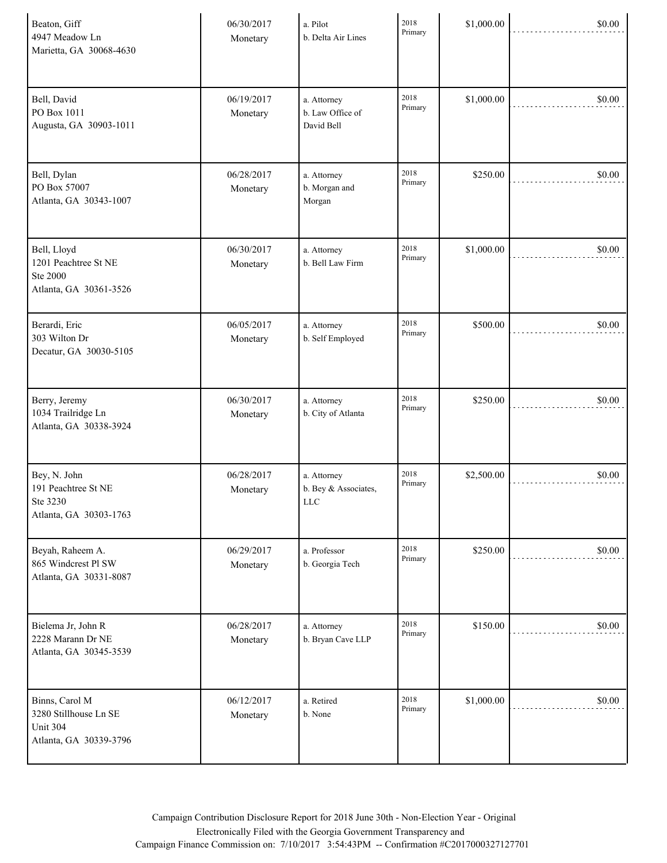| Beaton, Giff<br>4947 Meadow Ln<br>Marietta, GA 30068-4630                     | 06/30/2017<br>Monetary | a. Pilot<br>b. Delta Air Lines                | 2018<br>Primary | \$1,000.00 | \$0.00 |
|-------------------------------------------------------------------------------|------------------------|-----------------------------------------------|-----------------|------------|--------|
| Bell, David<br>PO Box 1011<br>Augusta, GA 30903-1011                          | 06/19/2017<br>Monetary | a. Attorney<br>b. Law Office of<br>David Bell | 2018<br>Primary | \$1,000.00 | \$0.00 |
| Bell, Dylan<br>PO Box 57007<br>Atlanta, GA 30343-1007                         | 06/28/2017<br>Monetary | a. Attorney<br>b. Morgan and<br>Morgan        | 2018<br>Primary | \$250.00   | \$0.00 |
| Bell, Lloyd<br>1201 Peachtree St NE<br>Ste 2000<br>Atlanta, GA 30361-3526     | 06/30/2017<br>Monetary | a. Attorney<br>b. Bell Law Firm               | 2018<br>Primary | \$1,000.00 | \$0.00 |
| Berardi, Eric<br>303 Wilton Dr<br>Decatur, GA 30030-5105                      | 06/05/2017<br>Monetary | a. Attorney<br>b. Self Employed               | 2018<br>Primary | \$500.00   | \$0.00 |
| Berry, Jeremy<br>1034 Trailridge Ln<br>Atlanta, GA 30338-3924                 | 06/30/2017<br>Monetary | a. Attorney<br>b. City of Atlanta             | 2018<br>Primary | \$250.00   | \$0.00 |
| Bey, N. John<br>191 Peachtree St NE<br>Ste 3230<br>Atlanta, GA 30303-1763     | 06/28/2017<br>Monetary | a. Attorney<br>b. Bey & Associates,<br>$LLC$  | 2018<br>Primary | \$2,500.00 | \$0.00 |
| Beyah, Raheem A.<br>865 Windcrest Pl SW<br>Atlanta, GA 30331-8087             | 06/29/2017<br>Monetary | a. Professor<br>b. Georgia Tech               | 2018<br>Primary | \$250.00   | \$0.00 |
| Bielema Jr, John R<br>2228 Marann Dr NE<br>Atlanta, GA 30345-3539             | 06/28/2017<br>Monetary | a. Attorney<br>b. Bryan Cave LLP              | 2018<br>Primary | \$150.00   | \$0.00 |
| Binns, Carol M<br>3280 Stillhouse Ln SE<br>Unit 304<br>Atlanta, GA 30339-3796 | 06/12/2017<br>Monetary | a. Retired<br>b. None                         | 2018<br>Primary | \$1,000.00 | \$0.00 |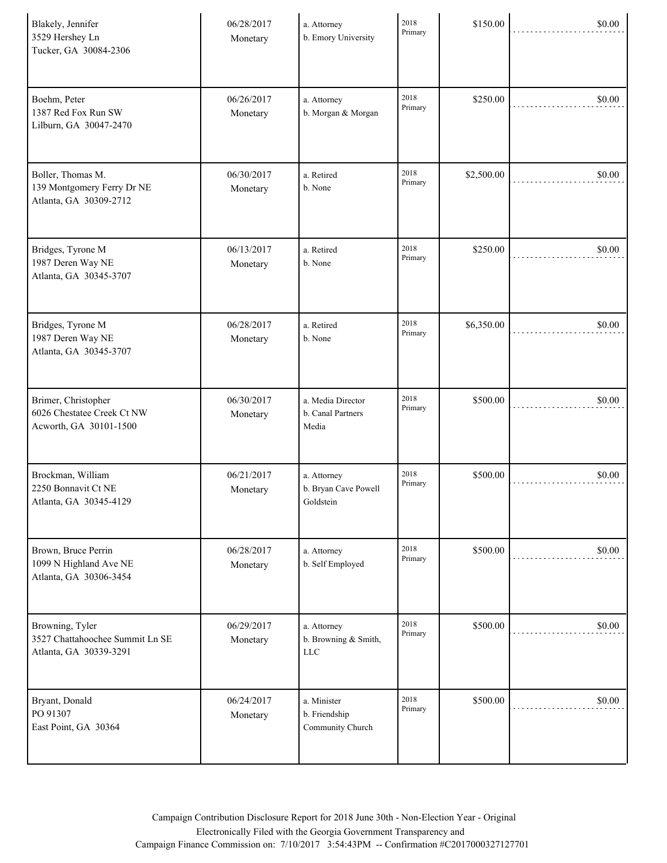| Blakely, Jennifer<br>3529 Hershey Ln<br>Tucker, GA 30084-2306                | 06/28/2017<br>Monetary | a. Attorney<br>b. Emory University                 | 2018<br>Primary | \$150.00   | \$0.00 |
|------------------------------------------------------------------------------|------------------------|----------------------------------------------------|-----------------|------------|--------|
| Boehm, Peter<br>1387 Red Fox Run SW<br>Lilburn, GA 30047-2470                | 06/26/2017<br>Monetary | a. Attorney<br>b. Morgan & Morgan                  | 2018<br>Primary | \$250.00   | \$0.00 |
| Boller, Thomas M.<br>139 Montgomery Ferry Dr NE<br>Atlanta, GA 30309-2712    | 06/30/2017<br>Monetary | a. Retired<br>b. None                              | 2018<br>Primary | \$2,500.00 | \$0.00 |
| Bridges, Tyrone M<br>1987 Deren Way NE<br>Atlanta, GA 30345-3707             | 06/13/2017<br>Monetary | a. Retired<br>b. None                              | 2018<br>Primary | \$250.00   | \$0.00 |
| Bridges, Tyrone M<br>1987 Deren Way NE<br>Atlanta, GA 30345-3707             | 06/28/2017<br>Monetary | a. Retired<br>b. None                              | 2018<br>Primary | \$6,350.00 | \$0.00 |
| Brimer, Christopher<br>6026 Chestatee Creek Ct NW<br>Acworth, GA 30101-1500  | 06/30/2017<br>Monetary | a. Media Director<br>b. Canal Partners<br>Media    | 2018<br>Primary | \$500.00   | \$0.00 |
| Brockman, William<br>2250 Bonnavit Ct NE<br>Atlanta, GA 30345-4129           | 06/21/2017<br>Monetary | a. Attorney<br>b. Bryan Cave Powell<br>Goldstein   | 2018<br>Primary | \$500.00   | \$0.00 |
| Brown, Bruce Perrin<br>1099 N Highland Ave NE<br>Atlanta, GA 30306-3454      | 06/28/2017<br>Monetary | a. Attorney<br>b. Self Employed                    | 2018<br>Primary | \$500.00   | \$0.00 |
| Browning, Tyler<br>3527 Chattahoochee Summit Ln SE<br>Atlanta, GA 30339-3291 | 06/29/2017<br>Monetary | a. Attorney<br>b. Browning & Smith,<br>${\rm LLC}$ | 2018<br>Primary | \$500.00   | \$0.00 |
| Bryant, Donald<br>PO 91307<br>East Point, GA 30364                           | 06/24/2017<br>Monetary | a. Minister<br>b. Friendship<br>Community Church   | 2018<br>Primary | \$500.00   | \$0.00 |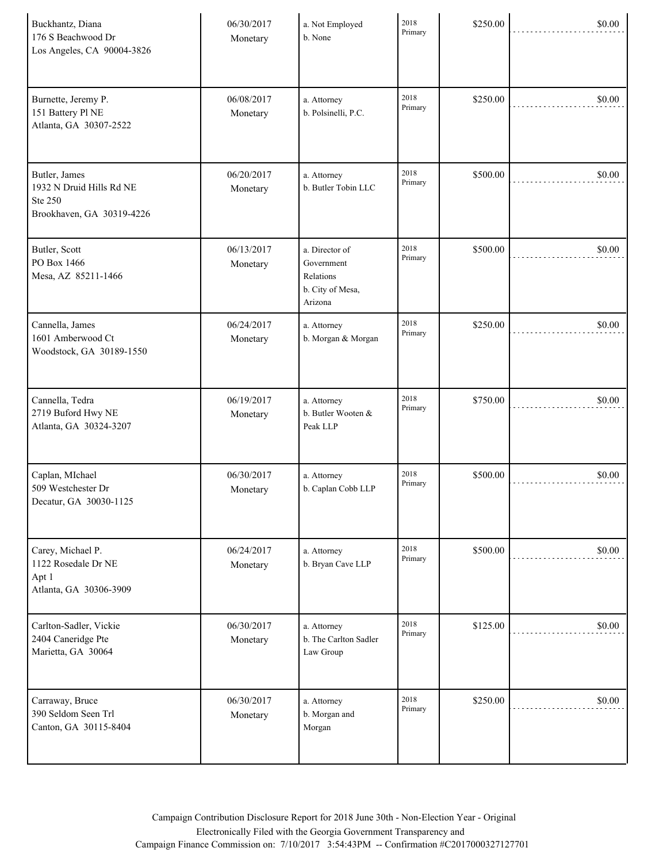| Buckhantz, Diana<br>176 S Beachwood Dr<br>Los Angeles, CA 90004-3826              | 06/30/2017<br>Monetary | a. Not Employed<br>b. None                                               | 2018<br>Primary | \$250.00 | \$0.00 |
|-----------------------------------------------------------------------------------|------------------------|--------------------------------------------------------------------------|-----------------|----------|--------|
| Burnette, Jeremy P.<br>151 Battery Pl NE<br>Atlanta, GA 30307-2522                | 06/08/2017<br>Monetary | a. Attorney<br>b. Polsinelli, P.C.                                       | 2018<br>Primary | \$250.00 | \$0.00 |
| Butler, James<br>1932 N Druid Hills Rd NE<br>Ste 250<br>Brookhaven, GA 30319-4226 | 06/20/2017<br>Monetary | a. Attorney<br>b. Butler Tobin LLC                                       | 2018<br>Primary | \$500.00 | \$0.00 |
| Butler, Scott<br>PO Box 1466<br>Mesa, AZ 85211-1466                               | 06/13/2017<br>Monetary | a. Director of<br>Government<br>Relations<br>b. City of Mesa,<br>Arizona | 2018<br>Primary | \$500.00 | \$0.00 |
| Cannella, James<br>1601 Amberwood Ct<br>Woodstock, GA 30189-1550                  | 06/24/2017<br>Monetary | a. Attorney<br>b. Morgan & Morgan                                        | 2018<br>Primary | \$250.00 | \$0.00 |
| Cannella, Tedra<br>2719 Buford Hwy NE<br>Atlanta, GA 30324-3207                   | 06/19/2017<br>Monetary | a. Attorney<br>b. Butler Wooten &<br>Peak LLP                            | 2018<br>Primary | \$750.00 | \$0.00 |
| Caplan, MIchael<br>509 Westchester Dr<br>Decatur, GA 30030-1125                   | 06/30/2017<br>Monetary | a. Attorney<br>b. Caplan Cobb LLP                                        | 2018<br>Primary | \$500.00 | \$0.00 |
| Carey, Michael P.<br>1122 Rosedale Dr NE<br>Apt 1<br>Atlanta, GA 30306-3909       | 06/24/2017<br>Monetary | a. Attorney<br>b. Bryan Cave LLP                                         | 2018<br>Primary | \$500.00 | \$0.00 |
| Carlton-Sadler, Vickie<br>2404 Caneridge Pte<br>Marietta, GA 30064                | 06/30/2017<br>Monetary | a. Attorney<br>b. The Carlton Sadler<br>Law Group                        | 2018<br>Primary | \$125.00 | \$0.00 |
| Carraway, Bruce<br>390 Seldom Seen Trl<br>Canton, GA 30115-8404                   | 06/30/2017<br>Monetary | a. Attorney<br>b. Morgan and<br>Morgan                                   | 2018<br>Primary | \$250.00 | \$0.00 |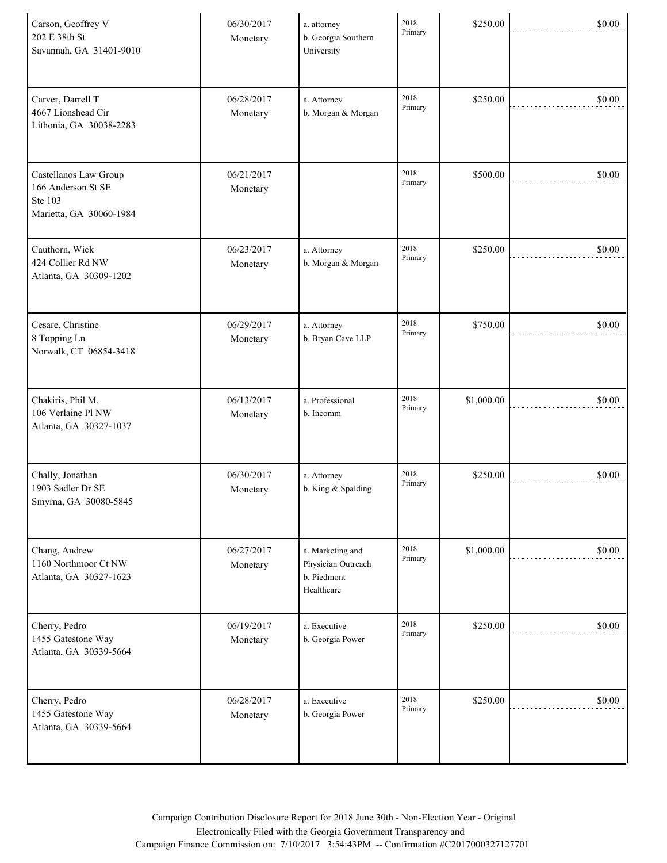| Carson, Geoffrey V<br>202 E 38th St<br>Savannah, GA 31401-9010                    | 06/30/2017<br>Monetary | a. attorney<br>b. Georgia Southern<br>University                    | 2018<br>Primary | \$250.00   | \$0.00 |
|-----------------------------------------------------------------------------------|------------------------|---------------------------------------------------------------------|-----------------|------------|--------|
| Carver, Darrell T<br>4667 Lionshead Cir<br>Lithonia, GA 30038-2283                | 06/28/2017<br>Monetary | a. Attorney<br>b. Morgan & Morgan                                   | 2018<br>Primary | \$250.00   | \$0.00 |
| Castellanos Law Group<br>166 Anderson St SE<br>Ste 103<br>Marietta, GA 30060-1984 | 06/21/2017<br>Monetary |                                                                     | 2018<br>Primary | \$500.00   | \$0.00 |
| Cauthorn, Wick<br>424 Collier Rd NW<br>Atlanta, GA 30309-1202                     | 06/23/2017<br>Monetary | a. Attorney<br>b. Morgan & Morgan                                   | 2018<br>Primary | \$250.00   | \$0.00 |
| Cesare, Christine<br>8 Topping Ln<br>Norwalk, CT 06854-3418                       | 06/29/2017<br>Monetary | a. Attorney<br>b. Bryan Cave LLP                                    | 2018<br>Primary | \$750.00   | \$0.00 |
| Chakiris, Phil M.<br>106 Verlaine Pl NW<br>Atlanta, GA 30327-1037                 | 06/13/2017<br>Monetary | a. Professional<br>b. Incomm                                        | 2018<br>Primary | \$1,000.00 | \$0.00 |
| Chally, Jonathan<br>1903 Sadler Dr SE<br>Smyrna, GA 30080-5845                    | 06/30/2017<br>Monetary | a. Attorney<br>b. King & Spalding                                   | 2018<br>Primary | \$250.00   | \$0.00 |
| Chang, Andrew<br>1160 Northmoor Ct NW<br>Atlanta, GA 30327-1623                   | 06/27/2017<br>Monetary | a. Marketing and<br>Physician Outreach<br>b. Piedmont<br>Healthcare | 2018<br>Primary | \$1,000.00 | \$0.00 |
| Cherry, Pedro<br>1455 Gatestone Way<br>Atlanta, GA 30339-5664                     | 06/19/2017<br>Monetary | a. Executive<br>b. Georgia Power                                    | 2018<br>Primary | \$250.00   | \$0.00 |
| Cherry, Pedro<br>1455 Gatestone Way<br>Atlanta, GA 30339-5664                     | 06/28/2017<br>Monetary | a. Executive<br>b. Georgia Power                                    | 2018<br>Primary | \$250.00   | \$0.00 |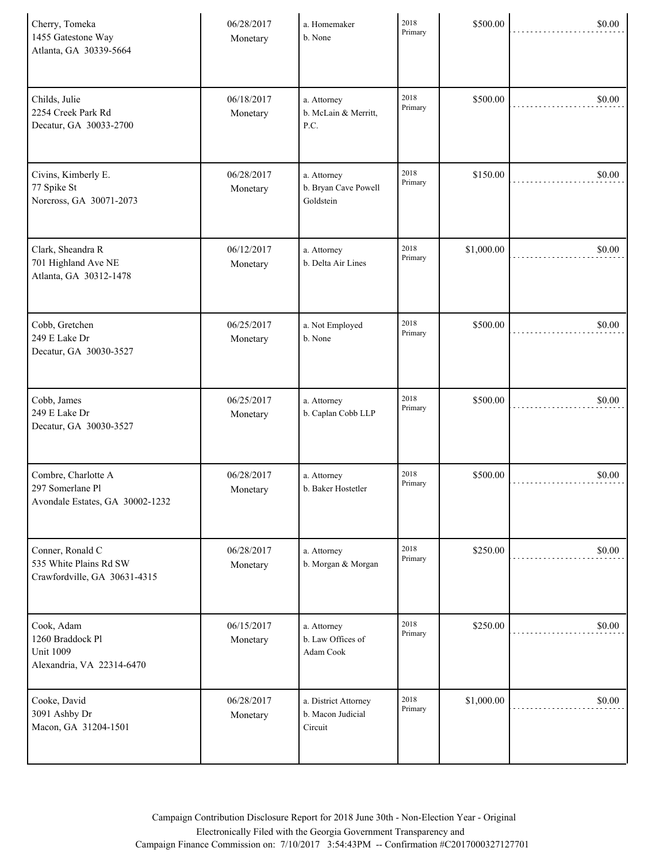| Cherry, Tomeka<br>1455 Gatestone Way<br>Atlanta, GA 30339-5664                  | 06/28/2017<br>Monetary | a. Homemaker<br>b. None                              | 2018<br>Primary | \$500.00   | \$0.00 |
|---------------------------------------------------------------------------------|------------------------|------------------------------------------------------|-----------------|------------|--------|
| Childs, Julie<br>2254 Creek Park Rd<br>Decatur, GA 30033-2700                   | 06/18/2017<br>Monetary | a. Attorney<br>b. McLain & Merritt,<br>P.C.          | 2018<br>Primary | \$500.00   | \$0.00 |
| Civins, Kimberly E.<br>77 Spike St<br>Norcross, GA 30071-2073                   | 06/28/2017<br>Monetary | a. Attorney<br>b. Bryan Cave Powell<br>Goldstein     | 2018<br>Primary | \$150.00   | \$0.00 |
| Clark, Sheandra R<br>701 Highland Ave NE<br>Atlanta, GA 30312-1478              | 06/12/2017<br>Monetary | a. Attorney<br>b. Delta Air Lines                    | 2018<br>Primary | \$1,000.00 | \$0.00 |
| Cobb, Gretchen<br>249 E Lake Dr<br>Decatur, GA 30030-3527                       | 06/25/2017<br>Monetary | a. Not Employed<br>b. None                           | 2018<br>Primary | \$500.00   | \$0.00 |
| Cobb, James<br>249 E Lake Dr<br>Decatur, GA 30030-3527                          | 06/25/2017<br>Monetary | a. Attorney<br>b. Caplan Cobb LLP                    | 2018<br>Primary | \$500.00   | \$0.00 |
| Combre, Charlotte A<br>297 Somerlane Pl<br>Avondale Estates, GA 30002-1232      | 06/28/2017<br>Monetary | a. Attorney<br>b. Baker Hostetler                    | 2018<br>Primary | \$500.00   | \$0.00 |
| Conner, Ronald C<br>535 White Plains Rd SW<br>Crawfordville, GA 30631-4315      | 06/28/2017<br>Monetary | a. Attorney<br>b. Morgan & Morgan                    | 2018<br>Primary | \$250.00   | \$0.00 |
| Cook, Adam<br>1260 Braddock Pl<br><b>Unit 1009</b><br>Alexandria, VA 22314-6470 | 06/15/2017<br>Monetary | a. Attorney<br>b. Law Offices of<br>Adam Cook        | 2018<br>Primary | \$250.00   | \$0.00 |
| Cooke, David<br>3091 Ashby Dr<br>Macon, GA 31204-1501                           | 06/28/2017<br>Monetary | a. District Attorney<br>b. Macon Judicial<br>Circuit | 2018<br>Primary | \$1,000.00 | \$0.00 |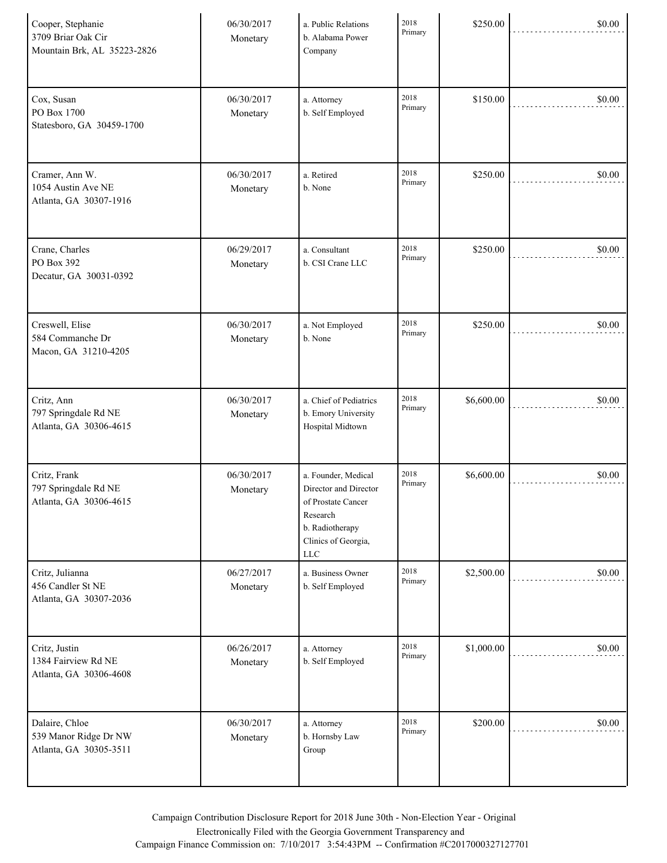| Cooper, Stephanie<br>3709 Briar Oak Cir<br>Mountain Brk, AL 35223-2826 | 06/30/2017<br>Monetary | a. Public Relations<br>b. Alabama Power<br>Company                                                                                     | 2018<br>Primary | \$250.00   | \$0.00 |
|------------------------------------------------------------------------|------------------------|----------------------------------------------------------------------------------------------------------------------------------------|-----------------|------------|--------|
| Cox, Susan<br>PO Box 1700<br>Statesboro, GA 30459-1700                 | 06/30/2017<br>Monetary | a. Attorney<br>b. Self Employed                                                                                                        | 2018<br>Primary | \$150.00   | \$0.00 |
| Cramer, Ann W.<br>1054 Austin Ave NE<br>Atlanta, GA 30307-1916         | 06/30/2017<br>Monetary | a. Retired<br>b. None                                                                                                                  | 2018<br>Primary | \$250.00   | \$0.00 |
| Crane, Charles<br>PO Box 392<br>Decatur, GA 30031-0392                 | 06/29/2017<br>Monetary | a. Consultant<br>b. CSI Crane LLC                                                                                                      | 2018<br>Primary | \$250.00   | \$0.00 |
| Creswell, Elise<br>584 Commanche Dr<br>Macon, GA 31210-4205            | 06/30/2017<br>Monetary | a. Not Employed<br>b. None                                                                                                             | 2018<br>Primary | \$250.00   | \$0.00 |
| Critz, Ann<br>797 Springdale Rd NE<br>Atlanta, GA 30306-4615           | 06/30/2017<br>Monetary | a. Chief of Pediatrics<br>b. Emory University<br>Hospital Midtown                                                                      | 2018<br>Primary | \$6,600.00 | \$0.00 |
| Critz, Frank<br>797 Springdale Rd NE<br>Atlanta, GA 30306-4615         | 06/30/2017<br>Monetary | a. Founder, Medical<br>Director and Director<br>of Prostate Cancer<br>Research<br>b. Radiotherapy<br>Clinics of Georgia,<br><b>LLC</b> | 2018<br>Primary | \$6,600.00 | \$0.00 |
| Critz, Julianna<br>456 Candler St NE<br>Atlanta, GA 30307-2036         | 06/27/2017<br>Monetary | a. Business Owner<br>b. Self Employed                                                                                                  | 2018<br>Primary | \$2,500.00 | \$0.00 |
| Critz, Justin<br>1384 Fairview Rd NE<br>Atlanta, GA 30306-4608         | 06/26/2017<br>Monetary | a. Attorney<br>b. Self Employed                                                                                                        | 2018<br>Primary | \$1,000.00 | \$0.00 |
| Dalaire, Chloe<br>539 Manor Ridge Dr NW<br>Atlanta, GA 30305-3511      | 06/30/2017<br>Monetary | a. Attorney<br>b. Hornsby Law<br>Group                                                                                                 | 2018<br>Primary | \$200.00   | \$0.00 |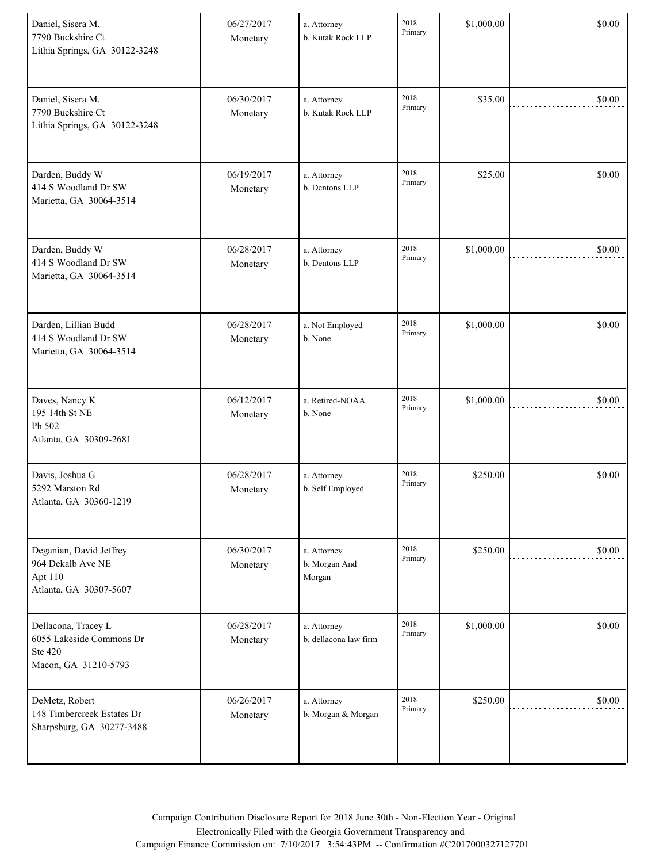| Daniel, Sisera M.<br>7790 Buckshire Ct<br>Lithia Springs, GA 30122-3248            | 06/27/2017<br>Monetary | a. Attorney<br>b. Kutak Rock LLP       | 2018<br>Primary | \$1,000.00 | \$0.00 |
|------------------------------------------------------------------------------------|------------------------|----------------------------------------|-----------------|------------|--------|
| Daniel, Sisera M.<br>7790 Buckshire Ct<br>Lithia Springs, GA 30122-3248            | 06/30/2017<br>Monetary | a. Attorney<br>b. Kutak Rock LLP       | 2018<br>Primary | \$35.00    | \$0.00 |
| Darden, Buddy W<br>414 S Woodland Dr SW<br>Marietta, GA 30064-3514                 | 06/19/2017<br>Monetary | a. Attorney<br>b. Dentons LLP          | 2018<br>Primary | \$25.00    | \$0.00 |
| Darden, Buddy W<br>414 S Woodland Dr SW<br>Marietta, GA 30064-3514                 | 06/28/2017<br>Monetary | a. Attorney<br>b. Dentons LLP          | 2018<br>Primary | \$1,000.00 | \$0.00 |
| Darden, Lillian Budd<br>414 S Woodland Dr SW<br>Marietta, GA 30064-3514            | 06/28/2017<br>Monetary | a. Not Employed<br>b. None             | 2018<br>Primary | \$1,000.00 | \$0.00 |
| Daves, Nancy K<br>195 14th St NE<br>Ph 502<br>Atlanta, GA 30309-2681               | 06/12/2017<br>Monetary | a. Retired-NOAA<br>b. None             | 2018<br>Primary | \$1,000.00 | \$0.00 |
| Davis, Joshua G<br>5292 Marston Rd<br>Atlanta, GA 30360-1219                       | 06/28/2017<br>Monetary | a. Attorney<br>b. Self Employed        | 2018<br>Primary | \$250.00   | \$0.00 |
| Deganian, David Jeffrey<br>964 Dekalb Ave NE<br>Apt 110<br>Atlanta, GA 30307-5607  | 06/30/2017<br>Monetary | a. Attorney<br>b. Morgan And<br>Morgan | 2018<br>Primary | \$250.00   | \$0.00 |
| Dellacona, Tracey L<br>6055 Lakeside Commons Dr<br>Ste 420<br>Macon, GA 31210-5793 | 06/28/2017<br>Monetary | a. Attorney<br>b. dellacona law firm   | 2018<br>Primary | \$1,000.00 | \$0.00 |
| DeMetz, Robert<br>148 Timbercreek Estates Dr<br>Sharpsburg, GA 30277-3488          | 06/26/2017<br>Monetary | a. Attorney<br>b. Morgan & Morgan      | 2018<br>Primary | \$250.00   | \$0.00 |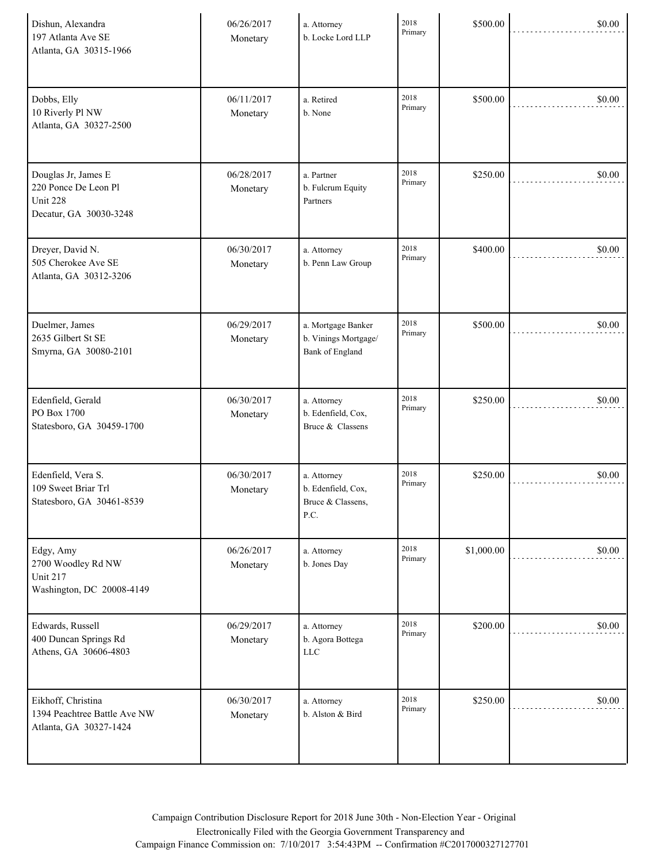| Dishun, Alexandra<br>197 Atlanta Ave SE<br>Atlanta, GA 30315-1966                 | 06/26/2017<br>Monetary | a. Attorney<br>b. Locke Lord LLP                                     | 2018<br>Primary | \$500.00   | \$0.00 |
|-----------------------------------------------------------------------------------|------------------------|----------------------------------------------------------------------|-----------------|------------|--------|
| Dobbs, Elly<br>10 Riverly Pl NW<br>Atlanta, GA 30327-2500                         | 06/11/2017<br>Monetary | a. Retired<br>b. None                                                | 2018<br>Primary | \$500.00   | \$0.00 |
| Douglas Jr, James E<br>220 Ponce De Leon Pl<br>Unit 228<br>Decatur, GA 30030-3248 | 06/28/2017<br>Monetary | a. Partner<br>b. Fulcrum Equity<br>Partners                          | 2018<br>Primary | \$250.00   | \$0.00 |
| Dreyer, David N.<br>505 Cherokee Ave SE<br>Atlanta, GA 30312-3206                 | 06/30/2017<br>Monetary | a. Attorney<br>b. Penn Law Group                                     | 2018<br>Primary | \$400.00   | \$0.00 |
| Duelmer, James<br>2635 Gilbert St SE<br>Smyrna, GA 30080-2101                     | 06/29/2017<br>Monetary | a. Mortgage Banker<br>b. Vinings Mortgage/<br><b>Bank</b> of England | 2018<br>Primary | \$500.00   | \$0.00 |
| Edenfield, Gerald<br>PO Box 1700<br>Statesboro, GA 30459-1700                     | 06/30/2017<br>Monetary | a. Attorney<br>b. Edenfield, Cox,<br>Bruce & Classens                | 2018<br>Primary | \$250.00   | \$0.00 |
| Edenfield, Vera S.<br>109 Sweet Briar Trl<br>Statesboro, GA 30461-8539            | 06/30/2017<br>Monetary | a. Attorney<br>b. Edenfield, Cox,<br>Bruce & Classens,<br>P.C.       | 2018<br>Primary | \$250.00   | \$0.00 |
| Edgy, Amy<br>2700 Woodley Rd NW<br><b>Unit 217</b><br>Washington, DC 20008-4149   | 06/26/2017<br>Monetary | a. Attorney<br>b. Jones Day                                          | 2018<br>Primary | \$1,000.00 | \$0.00 |
| Edwards, Russell<br>400 Duncan Springs Rd<br>Athens, GA 30606-4803                | 06/29/2017<br>Monetary | a. Attorney<br>b. Agora Bottega<br><b>LLC</b>                        | 2018<br>Primary | \$200.00   | \$0.00 |
| Eikhoff, Christina<br>1394 Peachtree Battle Ave NW<br>Atlanta, GA 30327-1424      | 06/30/2017<br>Monetary | a. Attorney<br>b. Alston & Bird                                      | 2018<br>Primary | \$250.00   | \$0.00 |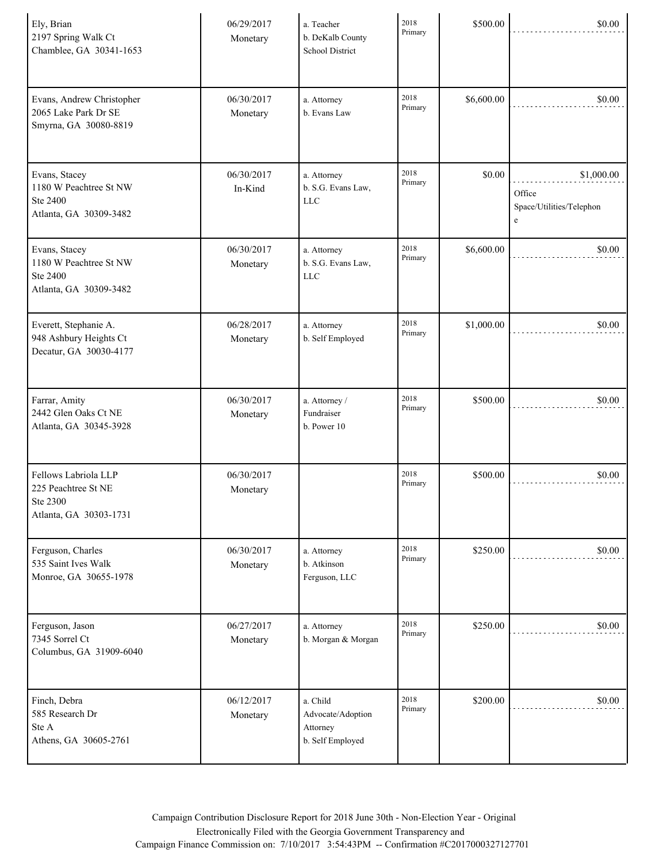| Ely, Brian<br>2197 Spring Walk Ct<br>Chamblee, GA 30341-1653                      | 06/29/2017<br>Monetary | a. Teacher<br>b. DeKalb County<br>School District             | 2018<br>Primary | \$500.00   | \$0.00                                                |
|-----------------------------------------------------------------------------------|------------------------|---------------------------------------------------------------|-----------------|------------|-------------------------------------------------------|
| Evans, Andrew Christopher<br>2065 Lake Park Dr SE<br>Smyrna, GA 30080-8819        | 06/30/2017<br>Monetary | a. Attorney<br>b. Evans Law                                   | 2018<br>Primary | \$6,600.00 | \$0.00                                                |
| Evans, Stacey<br>1180 W Peachtree St NW<br>Ste 2400<br>Atlanta, GA 30309-3482     | 06/30/2017<br>In-Kind  | a. Attorney<br>b. S.G. Evans Law,<br><b>LLC</b>               | 2018<br>Primary | \$0.00     | \$1,000.00<br>Office<br>Space/Utilities/Telephon<br>e |
| Evans, Stacey<br>1180 W Peachtree St NW<br>Ste 2400<br>Atlanta, GA 30309-3482     | 06/30/2017<br>Monetary | a. Attorney<br>b. S.G. Evans Law,<br>$LLC$                    | 2018<br>Primary | \$6,600.00 | \$0.00                                                |
| Everett, Stephanie A.<br>948 Ashbury Heights Ct<br>Decatur, GA 30030-4177         | 06/28/2017<br>Monetary | a. Attorney<br>b. Self Employed                               | 2018<br>Primary | \$1,000.00 | \$0.00                                                |
| Farrar, Amity<br>2442 Glen Oaks Ct NE<br>Atlanta, GA 30345-3928                   | 06/30/2017<br>Monetary | a. Attorney /<br>Fundraiser<br>b. Power 10                    | 2018<br>Primary | \$500.00   | \$0.00                                                |
| Fellows Labriola LLP<br>225 Peachtree St NE<br>Ste 2300<br>Atlanta, GA 30303-1731 | 06/30/2017<br>Monetary |                                                               | 2018<br>Primary | \$500.00   | \$0.00                                                |
| Ferguson, Charles<br>535 Saint Ives Walk<br>Monroe, GA 30655-1978                 | 06/30/2017<br>Monetary | a. Attorney<br>b. Atkinson<br>Ferguson, LLC                   | 2018<br>Primary | \$250.00   | \$0.00                                                |
| Ferguson, Jason<br>7345 Sorrel Ct<br>Columbus, GA 31909-6040                      | 06/27/2017<br>Monetary | a. Attorney<br>b. Morgan & Morgan                             | 2018<br>Primary | \$250.00   | \$0.00                                                |
| Finch, Debra<br>585 Research Dr<br>Ste A<br>Athens, GA 30605-2761                 | 06/12/2017<br>Monetary | a. Child<br>Advocate/Adoption<br>Attorney<br>b. Self Employed | 2018<br>Primary | \$200.00   | \$0.00                                                |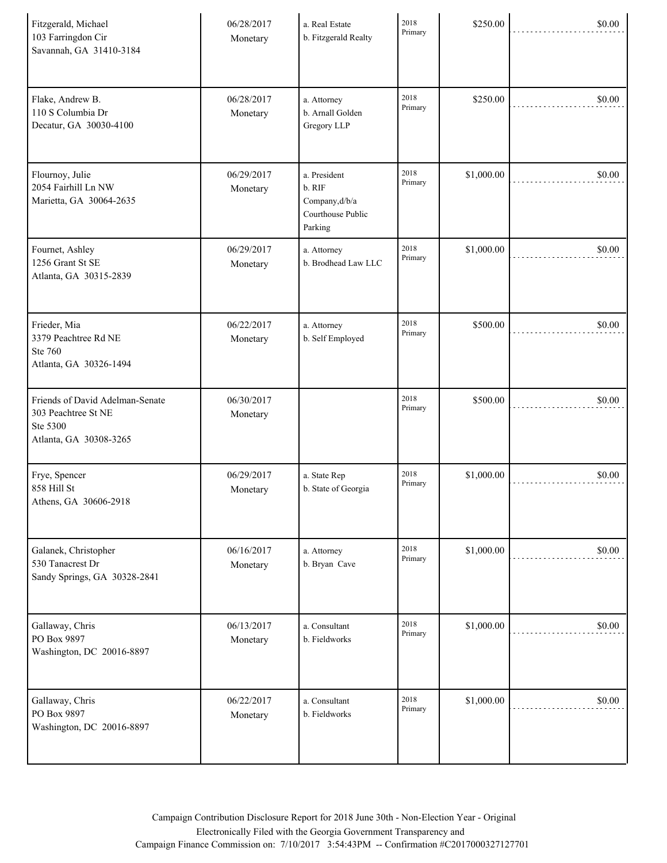| Fitzgerald, Michael<br>103 Farringdon Cir<br>Savannah, GA 31410-3184                         | 06/28/2017<br>Monetary | a. Real Estate<br>b. Fitzgerald Realty                                  | 2018<br>Primary | \$250.00   | \$0.00 |
|----------------------------------------------------------------------------------------------|------------------------|-------------------------------------------------------------------------|-----------------|------------|--------|
| Flake, Andrew B.<br>110 S Columbia Dr<br>Decatur, GA 30030-4100                              | 06/28/2017<br>Monetary | a. Attorney<br>b. Arnall Golden<br>Gregory LLP                          | 2018<br>Primary | \$250.00   | \$0.00 |
| Flournoy, Julie<br>2054 Fairhill Ln NW<br>Marietta, GA 30064-2635                            | 06/29/2017<br>Monetary | a. President<br>b. RIF<br>Company,d/b/a<br>Courthouse Public<br>Parking | 2018<br>Primary | \$1,000.00 | \$0.00 |
| Fournet, Ashley<br>1256 Grant St SE<br>Atlanta, GA 30315-2839                                | 06/29/2017<br>Monetary | a. Attorney<br>b. Brodhead Law LLC                                      | 2018<br>Primary | \$1,000.00 | \$0.00 |
| Frieder, Mia<br>3379 Peachtree Rd NE<br>Ste 760<br>Atlanta, GA 30326-1494                    | 06/22/2017<br>Monetary | a. Attorney<br>b. Self Employed                                         | 2018<br>Primary | \$500.00   | \$0.00 |
| Friends of David Adelman-Senate<br>303 Peachtree St NE<br>Ste 5300<br>Atlanta, GA 30308-3265 | 06/30/2017<br>Monetary |                                                                         | 2018<br>Primary | \$500.00   | \$0.00 |
| Frye, Spencer<br>858 Hill St<br>Athens, GA 30606-2918                                        | 06/29/2017<br>Monetary | a. State Rep<br>b. State of Georgia                                     | 2018<br>Primary | \$1,000.00 | \$0.00 |
| Galanek, Christopher<br>530 Tanacrest Dr<br>Sandy Springs, GA 30328-2841                     | 06/16/2017<br>Monetary | a. Attorney<br>b. Bryan Cave                                            | 2018<br>Primary | \$1,000.00 | \$0.00 |
| Gallaway, Chris<br>PO Box 9897<br>Washington, DC 20016-8897                                  | 06/13/2017<br>Monetary | a. Consultant<br>b. Fieldworks                                          | 2018<br>Primary | \$1,000.00 | \$0.00 |
| Gallaway, Chris<br>PO Box 9897<br>Washington, DC 20016-8897                                  | 06/22/2017<br>Monetary | a. Consultant<br>b. Fieldworks                                          | 2018<br>Primary | \$1,000.00 | \$0.00 |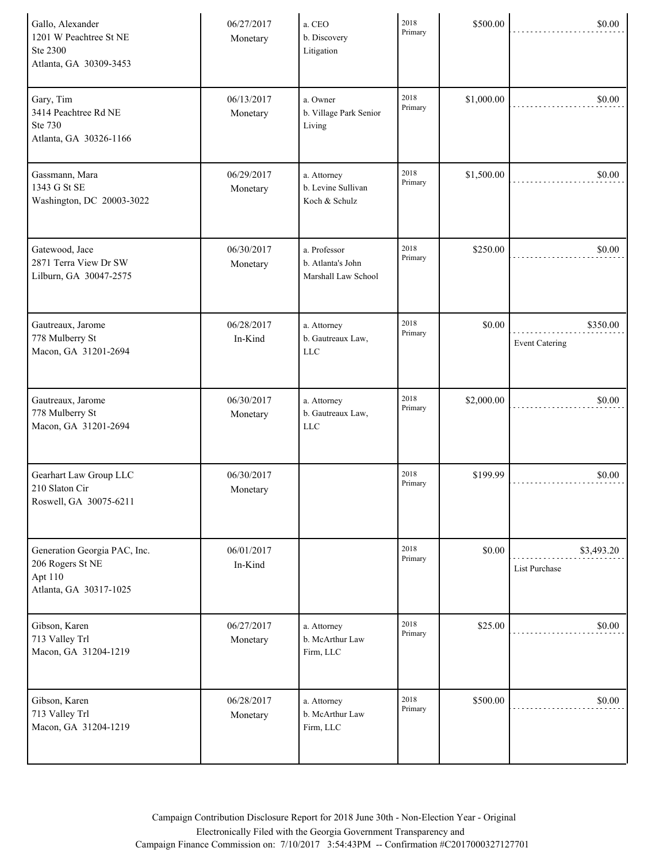| Gallo, Alexander<br>1201 W Peachtree St NE<br>Ste 2300<br>Atlanta, GA 30309-3453      | 06/27/2017<br>Monetary | a. CEO<br>b. Discovery<br>Litigation                     | 2018<br>Primary | \$500.00   | \$0.00                             |
|---------------------------------------------------------------------------------------|------------------------|----------------------------------------------------------|-----------------|------------|------------------------------------|
| Gary, Tim<br>3414 Peachtree Rd NE<br>Ste 730<br>Atlanta, GA 30326-1166                | 06/13/2017<br>Monetary | a. Owner<br>b. Village Park Senior<br>Living             | 2018<br>Primary | \$1,000.00 | \$0.00                             |
| Gassmann, Mara<br>1343 G St SE<br>Washington, DC 20003-3022                           | 06/29/2017<br>Monetary | a. Attorney<br>b. Levine Sullivan<br>Koch & Schulz       | 2018<br>Primary | \$1,500.00 | \$0.00                             |
| Gatewood, Jace<br>2871 Terra View Dr SW<br>Lilburn, GA 30047-2575                     | 06/30/2017<br>Monetary | a. Professor<br>b. Atlanta's John<br>Marshall Law School | 2018<br>Primary | \$250.00   | \$0.00                             |
| Gautreaux, Jarome<br>778 Mulberry St<br>Macon, GA 31201-2694                          | 06/28/2017<br>In-Kind  | a. Attorney<br>b. Gautreaux Law,<br><b>LLC</b>           | 2018<br>Primary | \$0.00     | \$350.00<br><b>Event Catering</b>  |
| Gautreaux, Jarome<br>778 Mulberry St<br>Macon, GA 31201-2694                          | 06/30/2017<br>Monetary | a. Attorney<br>b. Gautreaux Law,<br><b>LLC</b>           | 2018<br>Primary | \$2,000.00 | \$0.00                             |
| Gearhart Law Group LLC<br>210 Slaton Cir<br>Roswell, GA 30075-6211                    | 06/30/2017<br>Monetary |                                                          | 2018<br>Primary | \$199.99   | \$0.00                             |
| Generation Georgia PAC, Inc.<br>206 Rogers St NE<br>Apt 110<br>Atlanta, GA 30317-1025 | 06/01/2017<br>In-Kind  |                                                          | 2018<br>Primary | \$0.00     | \$3,493.20<br><b>List Purchase</b> |
| Gibson, Karen<br>713 Valley Trl<br>Macon, GA 31204-1219                               | 06/27/2017<br>Monetary | a. Attorney<br>b. McArthur Law<br>Firm, LLC              | 2018<br>Primary | \$25.00    | \$0.00                             |
| Gibson, Karen<br>713 Valley Trl<br>Macon, GA 31204-1219                               | 06/28/2017<br>Monetary | a. Attorney<br>b. McArthur Law<br>Firm, LLC              | 2018<br>Primary | \$500.00   | \$0.00                             |

Campaign Contribution Disclosure Report for 2018 June 30th - Non-Election Year - Original Electronically Filed with the Georgia Government Transparency and Campaign Finance Commission on: 7/10/2017 3:54:43PM -- Confirmation #C2017000327127701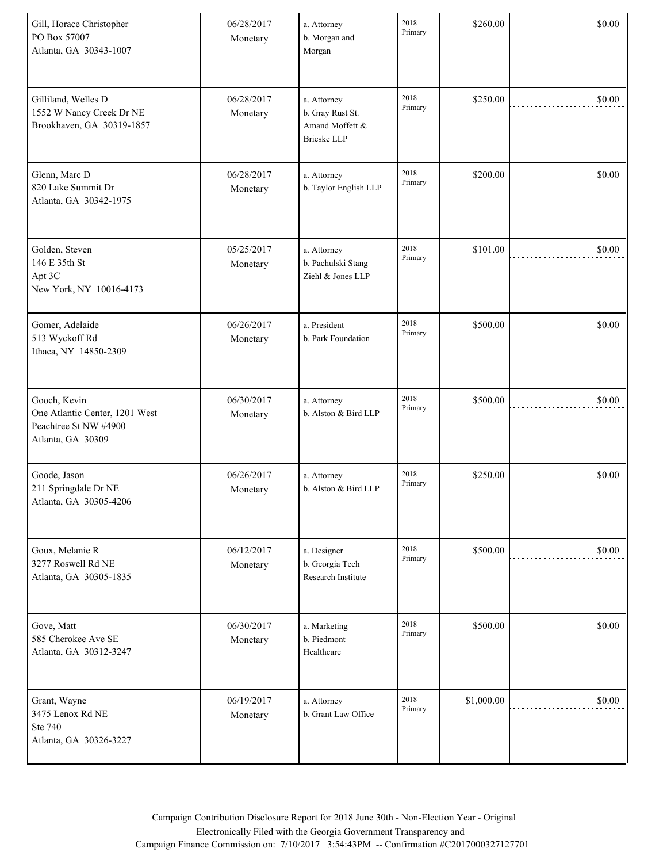| Gill, Horace Christopher<br>PO Box 57007<br>Atlanta, GA 30343-1007                           | 06/28/2017<br>Monetary | a. Attorney<br>b. Morgan and<br>Morgan                                   | 2018<br>Primary | \$260.00   | \$0.00 |
|----------------------------------------------------------------------------------------------|------------------------|--------------------------------------------------------------------------|-----------------|------------|--------|
| Gilliland, Welles D<br>1552 W Nancy Creek Dr NE<br>Brookhaven, GA 30319-1857                 | 06/28/2017<br>Monetary | a. Attorney<br>b. Gray Rust St.<br>Amand Moffett &<br><b>Brieske LLP</b> | 2018<br>Primary | \$250.00   | \$0.00 |
| Glenn, Marc D<br>820 Lake Summit Dr<br>Atlanta, GA 30342-1975                                | 06/28/2017<br>Monetary | a. Attorney<br>b. Taylor English LLP                                     | 2018<br>Primary | \$200.00   | \$0.00 |
| Golden, Steven<br>146 E 35th St<br>Apt 3C<br>New York, NY 10016-4173                         | 05/25/2017<br>Monetary | a. Attorney<br>b. Pachulski Stang<br>Ziehl & Jones LLP                   | 2018<br>Primary | \$101.00   | \$0.00 |
| Gomer, Adelaide<br>513 Wyckoff Rd<br>Ithaca, NY 14850-2309                                   | 06/26/2017<br>Monetary | a. President<br>b. Park Foundation                                       | 2018<br>Primary | \$500.00   | \$0.00 |
| Gooch, Kevin<br>One Atlantic Center, 1201 West<br>Peachtree St NW #4900<br>Atlanta, GA 30309 | 06/30/2017<br>Monetary | a. Attorney<br>b. Alston & Bird LLP                                      | 2018<br>Primary | \$500.00   | \$0.00 |
| Goode, Jason<br>211 Springdale Dr NE<br>Atlanta, GA 30305-4206                               | 06/26/2017<br>Monetary | a. Attorney<br>b. Alston & Bird LLP                                      | 2018<br>Primary | \$250.00   | \$0.00 |
| Goux, Melanie R<br>3277 Roswell Rd NE<br>Atlanta, GA 30305-1835                              | 06/12/2017<br>Monetary | a. Designer<br>b. Georgia Tech<br>Research Institute                     | 2018<br>Primary | \$500.00   | \$0.00 |
| Gove, Matt<br>585 Cherokee Ave SE<br>Atlanta, GA 30312-3247                                  | 06/30/2017<br>Monetary | a. Marketing<br>b. Piedmont<br>Healthcare                                | 2018<br>Primary | \$500.00   | \$0.00 |
| Grant, Wayne<br>3475 Lenox Rd NE<br>Ste 740<br>Atlanta, GA 30326-3227                        | 06/19/2017<br>Monetary | a. Attorney<br>b. Grant Law Office                                       | 2018<br>Primary | \$1,000.00 | \$0.00 |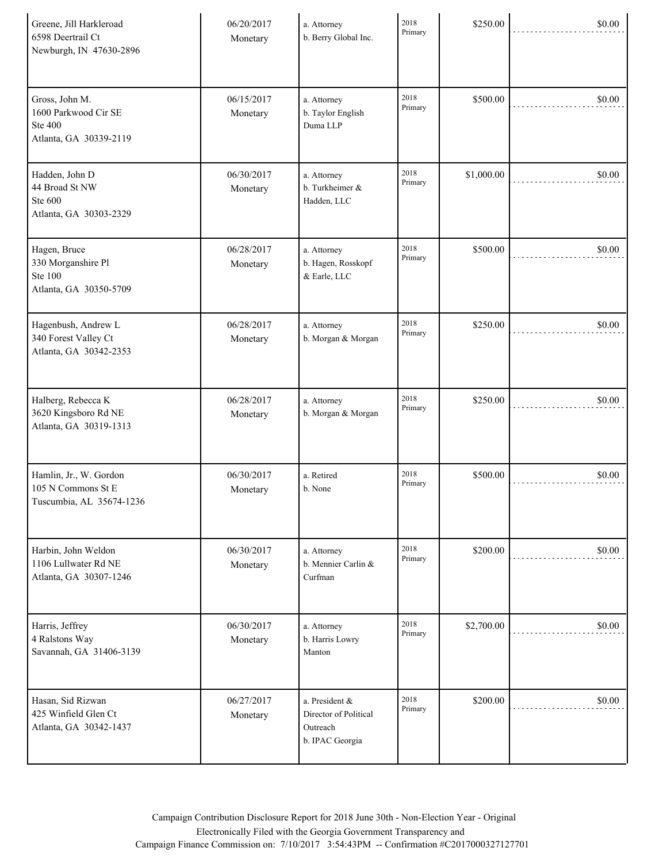| Greene, Jill Harkleroad<br>6598 Deertrail Ct<br>Newburgh, IN 47630-2896            | 06/20/2017<br>Monetary | a. Attorney<br>b. Berry Global Inc.                                    | 2018<br>Primary | \$250.00   | \$0.00 |
|------------------------------------------------------------------------------------|------------------------|------------------------------------------------------------------------|-----------------|------------|--------|
| Gross, John M.<br>1600 Parkwood Cir SE<br><b>Ste 400</b><br>Atlanta, GA 30339-2119 | 06/15/2017<br>Monetary | a. Attorney<br>b. Taylor English<br>Duma LLP                           | 2018<br>Primary | \$500.00   | \$0.00 |
| Hadden, John D<br>44 Broad St NW<br>Ste 600<br>Atlanta, GA 30303-2329              | 06/30/2017<br>Monetary | a. Attorney<br>b. Turkheimer &<br>Hadden, LLC                          | 2018<br>Primary | \$1,000.00 | \$0.00 |
| Hagen, Bruce<br>330 Morganshire Pl<br><b>Ste 100</b><br>Atlanta, GA 30350-5709     | 06/28/2017<br>Monetary | a. Attorney<br>b. Hagen, Rosskopf<br>& Earle, LLC                      | 2018<br>Primary | \$500.00   | \$0.00 |
| Hagenbush, Andrew L<br>340 Forest Valley Ct<br>Atlanta, GA 30342-2353              | 06/28/2017<br>Monetary | a. Attorney<br>b. Morgan & Morgan                                      | 2018<br>Primary | \$250.00   | \$0.00 |
| Halberg, Rebecca K<br>3620 Kingsboro Rd NE<br>Atlanta, GA 30319-1313               | 06/28/2017<br>Monetary | a. Attorney<br>b. Morgan & Morgan                                      | 2018<br>Primary | \$250.00   | \$0.00 |
| Hamlin, Jr., W. Gordon<br>105 N Commons St E<br>Tuscumbia, AL 35674-1236           | 06/30/2017<br>Monetary | a. Retired<br>b. None                                                  | 2018<br>Primary | \$500.00   | \$0.00 |
| Harbin, John Weldon<br>1106 Lullwater Rd NE<br>Atlanta, GA 30307-1246              | 06/30/2017<br>Monetary | a. Attorney<br>b. Mennier Carlin &<br>Curfman                          | 2018<br>Primary | \$200.00   | \$0.00 |
| Harris, Jeffrey<br>4 Ralstons Way<br>Savannah, GA 31406-3139                       | 06/30/2017<br>Monetary | a. Attorney<br>b. Harris Lowry<br>Manton                               | 2018<br>Primary | \$2,700.00 | \$0.00 |
| Hasan, Sid Rizwan<br>425 Winfield Glen Ct<br>Atlanta, GA 30342-1437                | 06/27/2017<br>Monetary | a. President &<br>Director of Political<br>Outreach<br>b. IPAC Georgia | 2018<br>Primary | \$200.00   | \$0.00 |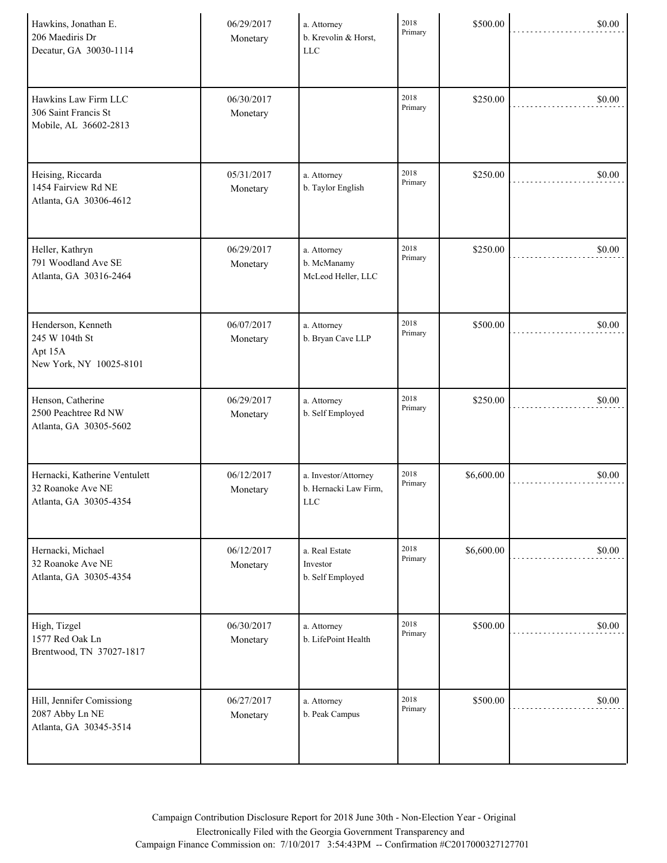| Hawkins, Jonathan E.<br>206 Maediris Dr<br>Decatur, GA 30030-1114            | 06/29/2017<br>Monetary | a. Attorney<br>b. Krevolin & Horst,<br><b>LLC</b>           | 2018<br>Primary | \$500.00   | \$0.00 |
|------------------------------------------------------------------------------|------------------------|-------------------------------------------------------------|-----------------|------------|--------|
| Hawkins Law Firm LLC<br>306 Saint Francis St<br>Mobile, AL 36602-2813        | 06/30/2017<br>Monetary |                                                             | 2018<br>Primary | \$250.00   | \$0.00 |
| Heising, Riccarda<br>1454 Fairview Rd NE<br>Atlanta, GA 30306-4612           | 05/31/2017<br>Monetary | a. Attorney<br>b. Taylor English                            | 2018<br>Primary | \$250.00   | \$0.00 |
| Heller, Kathryn<br>791 Woodland Ave SE<br>Atlanta, GA 30316-2464             | 06/29/2017<br>Monetary | a. Attorney<br>b. McManamy<br>McLeod Heller, LLC            | 2018<br>Primary | \$250.00   | \$0.00 |
| Henderson, Kenneth<br>245 W 104th St<br>Apt 15A<br>New York, NY 10025-8101   | 06/07/2017<br>Monetary | a. Attorney<br>b. Bryan Cave LLP                            | 2018<br>Primary | \$500.00   | \$0.00 |
| Henson, Catherine<br>2500 Peachtree Rd NW<br>Atlanta, GA 30305-5602          | 06/29/2017<br>Monetary | a. Attorney<br>b. Self Employed                             | 2018<br>Primary | \$250.00   | \$0.00 |
| Hernacki, Katherine Ventulett<br>32 Roanoke Ave NE<br>Atlanta, GA 30305-4354 | 06/12/2017<br>Monetary | a. Investor/Attorney<br>b. Hernacki Law Firm,<br><b>LLC</b> | 2018<br>Primary | \$6,600.00 | \$0.00 |
| Hernacki, Michael<br>32 Roanoke Ave NE<br>Atlanta, GA 30305-4354             | 06/12/2017<br>Monetary | a. Real Estate<br>Investor<br>b. Self Employed              | 2018<br>Primary | \$6,600.00 | \$0.00 |
| High, Tizgel<br>1577 Red Oak Ln<br>Brentwood, TN 37027-1817                  | 06/30/2017<br>Monetary | a. Attorney<br>b. LifePoint Health                          | 2018<br>Primary | \$500.00   | \$0.00 |
| Hill, Jennifer Comissiong<br>2087 Abby Ln NE<br>Atlanta, GA 30345-3514       | 06/27/2017<br>Monetary | a. Attorney<br>b. Peak Campus                               | 2018<br>Primary | \$500.00   | \$0.00 |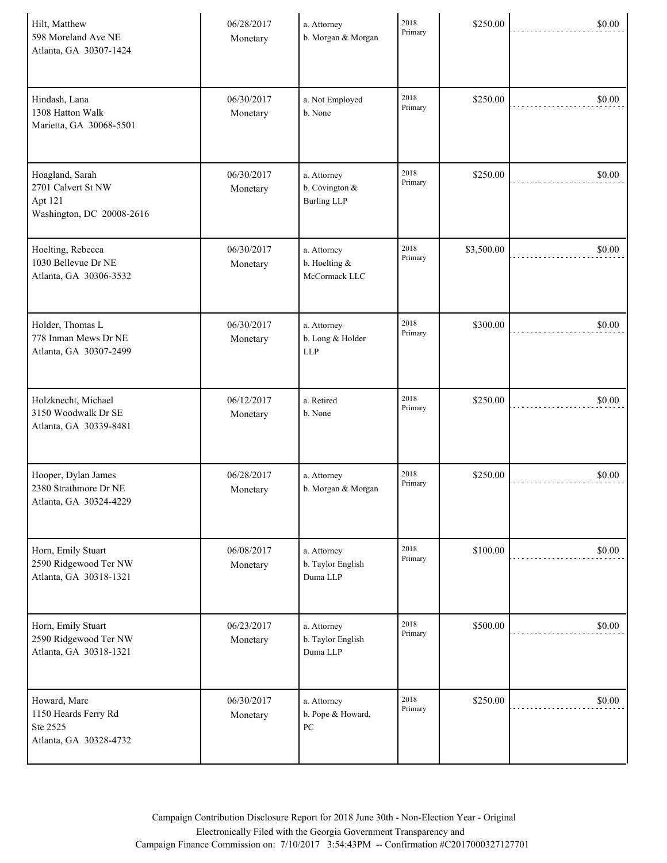| Hilt, Matthew<br>598 Moreland Ave NE<br>Atlanta, GA 30307-1424                | 06/28/2017<br>Monetary | a. Attorney<br>b. Morgan & Morgan                      | 2018<br>Primary | \$250.00   | \$0.00 |
|-------------------------------------------------------------------------------|------------------------|--------------------------------------------------------|-----------------|------------|--------|
| Hindash, Lana<br>1308 Hatton Walk<br>Marietta, GA 30068-5501                  | 06/30/2017<br>Monetary | a. Not Employed<br>b. None                             | 2018<br>Primary | \$250.00   | \$0.00 |
| Hoagland, Sarah<br>2701 Calvert St NW<br>Apt 121<br>Washington, DC 20008-2616 | 06/30/2017<br>Monetary | a. Attorney<br>b. Covington $\&$<br><b>Burling LLP</b> | 2018<br>Primary | \$250.00   | \$0.00 |
| Hoelting, Rebecca<br>1030 Bellevue Dr NE<br>Atlanta, GA 30306-3532            | 06/30/2017<br>Monetary | a. Attorney<br>b. Hoelting &<br>McCormack LLC          | 2018<br>Primary | \$3,500.00 | \$0.00 |
| Holder, Thomas L<br>778 Inman Mews Dr NE<br>Atlanta, GA 30307-2499            | 06/30/2017<br>Monetary | a. Attorney<br>b. Long & Holder<br><b>LLP</b>          | 2018<br>Primary | \$300.00   | \$0.00 |
| Holzknecht, Michael<br>3150 Woodwalk Dr SE<br>Atlanta, GA 30339-8481          | 06/12/2017<br>Monetary | a. Retired<br>b. None                                  | 2018<br>Primary | \$250.00   | \$0.00 |
| Hooper, Dylan James<br>2380 Strathmore Dr NE<br>Atlanta, GA 30324-4229        | 06/28/2017<br>Monetary | a. Attorney<br>b. Morgan & Morgan                      | 2018<br>Primary | \$250.00   | \$0.00 |
| Horn, Emily Stuart<br>2590 Ridgewood Ter NW<br>Atlanta, GA 30318-1321         | 06/08/2017<br>Monetary | a. Attorney<br>b. Taylor English<br>Duma LLP           | 2018<br>Primary | \$100.00   | \$0.00 |
| Horn, Emily Stuart<br>2590 Ridgewood Ter NW<br>Atlanta, GA 30318-1321         | 06/23/2017<br>Monetary | a. Attorney<br>b. Taylor English<br>Duma LLP           | 2018<br>Primary | \$500.00   | \$0.00 |
| Howard, Marc<br>1150 Heards Ferry Rd<br>Ste 2525<br>Atlanta, GA 30328-4732    | 06/30/2017<br>Monetary | a. Attorney<br>b. Pope & Howard,<br>PC                 | 2018<br>Primary | \$250.00   | \$0.00 |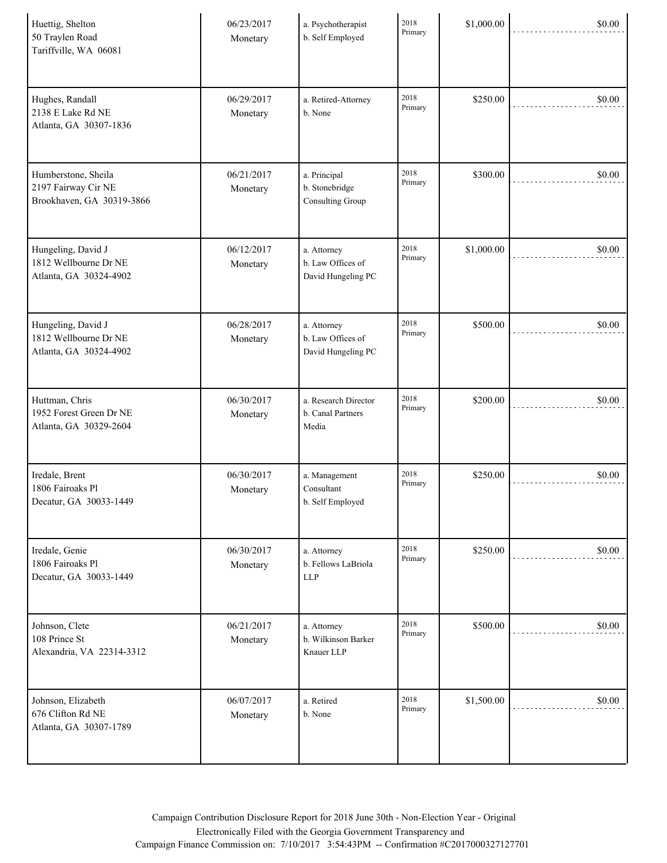| Huettig, Shelton<br>50 Traylen Road<br>Tariffville, WA 06081            | 06/23/2017<br>Monetary | a. Psychotherapist<br>b. Self Employed                 | 2018<br>Primary | \$1,000.00 | \$0.00 |
|-------------------------------------------------------------------------|------------------------|--------------------------------------------------------|-----------------|------------|--------|
| Hughes, Randall<br>2138 E Lake Rd NE<br>Atlanta, GA 30307-1836          | 06/29/2017<br>Monetary | a. Retired-Attorney<br>b. None                         | 2018<br>Primary | \$250.00   | \$0.00 |
| Humberstone, Sheila<br>2197 Fairway Cir NE<br>Brookhaven, GA 30319-3866 | 06/21/2017<br>Monetary | a. Principal<br>b. Stonebridge<br>Consulting Group     | 2018<br>Primary | \$300.00   | \$0.00 |
| Hungeling, David J<br>1812 Wellbourne Dr NE<br>Atlanta, GA 30324-4902   | 06/12/2017<br>Monetary | a. Attorney<br>b. Law Offices of<br>David Hungeling PC | 2018<br>Primary | \$1,000.00 | \$0.00 |
| Hungeling, David J<br>1812 Wellbourne Dr NE<br>Atlanta, GA 30324-4902   | 06/28/2017<br>Monetary | a. Attorney<br>b. Law Offices of<br>David Hungeling PC | 2018<br>Primary | \$500.00   | \$0.00 |
| Huttman, Chris<br>1952 Forest Green Dr NE<br>Atlanta, GA 30329-2604     | 06/30/2017<br>Monetary | a. Research Director<br>b. Canal Partners<br>Media     | 2018<br>Primary | \$200.00   | \$0.00 |
| Iredale, Brent<br>1806 Fairoaks Pl<br>Decatur, GA 30033-1449            | 06/30/2017<br>Monetary | a. Management<br>Consultant<br>b. Self Employed        | 2018<br>Primary | \$250.00   | \$0.00 |
| Iredale, Genie<br>1806 Fairoaks Pl<br>Decatur, GA 30033-1449            | 06/30/2017<br>Monetary | a. Attorney<br>b. Fellows LaBriola<br><b>LLP</b>       | 2018<br>Primary | \$250.00   | \$0.00 |
| Johnson, Clete<br>108 Prince St<br>Alexandria, VA 22314-3312            | 06/21/2017<br>Monetary | a. Attorney<br>b. Wilkinson Barker<br>Knauer LLP       | 2018<br>Primary | \$500.00   | \$0.00 |
| Johnson, Elizabeth<br>676 Clifton Rd NE<br>Atlanta, GA 30307-1789       | 06/07/2017<br>Monetary | a. Retired<br>b. None                                  | 2018<br>Primary | \$1,500.00 | \$0.00 |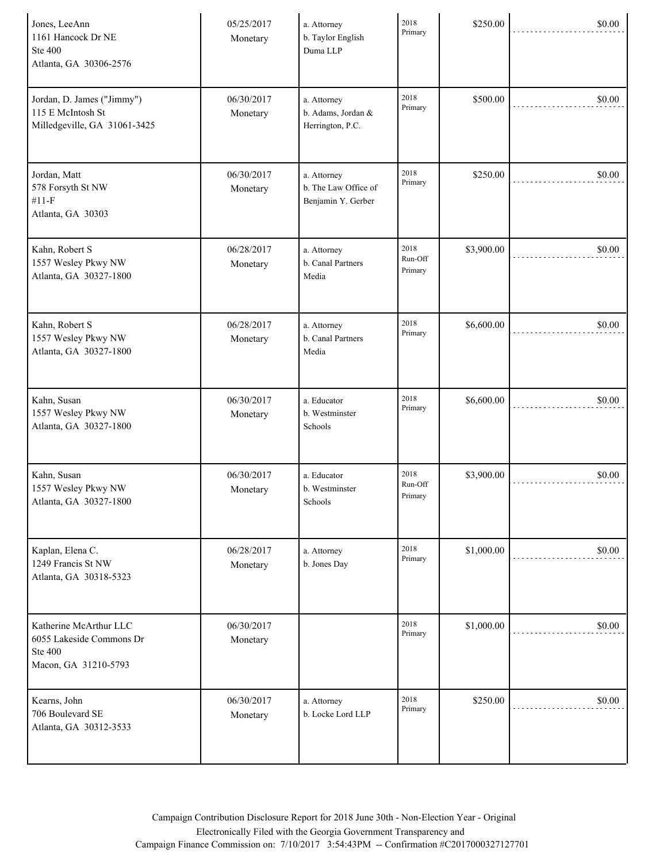| Jones, LeeAnn<br>1161 Hancock Dr NE<br><b>Ste 400</b><br>Atlanta, GA 30306-2576              | 05/25/2017<br>Monetary | a. Attorney<br>b. Taylor English<br>Duma LLP              | 2018<br>Primary            | \$250.00   | \$0.00 |
|----------------------------------------------------------------------------------------------|------------------------|-----------------------------------------------------------|----------------------------|------------|--------|
| Jordan, D. James ("Jimmy")<br>115 E McIntosh St<br>Milledgeville, GA 31061-3425              | 06/30/2017<br>Monetary | a. Attorney<br>b. Adams, Jordan &<br>Herrington, P.C.     | 2018<br>Primary            | \$500.00   | \$0.00 |
| Jordan, Matt<br>578 Forsyth St NW<br>$#11-F$<br>Atlanta, GA 30303                            | 06/30/2017<br>Monetary | a. Attorney<br>b. The Law Office of<br>Benjamin Y. Gerber | 2018<br>Primary            | \$250.00   | \$0.00 |
| Kahn, Robert S<br>1557 Wesley Pkwy NW<br>Atlanta, GA 30327-1800                              | 06/28/2017<br>Monetary | a. Attorney<br>b. Canal Partners<br>Media                 | 2018<br>Run-Off<br>Primary | \$3,900.00 | \$0.00 |
| Kahn, Robert S<br>1557 Wesley Pkwy NW<br>Atlanta, GA 30327-1800                              | 06/28/2017<br>Monetary | a. Attorney<br>b. Canal Partners<br>Media                 | 2018<br>Primary            | \$6,600.00 | \$0.00 |
| Kahn, Susan<br>1557 Wesley Pkwy NW<br>Atlanta, GA 30327-1800                                 | 06/30/2017<br>Monetary | a. Educator<br>b. Westminster<br>Schools                  | 2018<br>Primary            | \$6,600.00 | \$0.00 |
| Kahn, Susan<br>1557 Wesley Pkwy NW<br>Atlanta, GA 30327-1800                                 | 06/30/2017<br>Monetary | a. Educator<br>b. Westminster<br>$\operatorname{Schools}$ | 2018<br>Run-Off<br>Primary | \$3,900.00 | \$0.00 |
| Kaplan, Elena C.<br>1249 Francis St NW<br>Atlanta, GA 30318-5323                             | 06/28/2017<br>Monetary | a. Attorney<br>b. Jones Day                               | 2018<br>Primary            | \$1,000.00 | \$0.00 |
| Katherine McArthur LLC<br>6055 Lakeside Commons Dr<br><b>Ste 400</b><br>Macon, GA 31210-5793 | 06/30/2017<br>Monetary |                                                           | 2018<br>Primary            | \$1,000.00 | \$0.00 |
| Kearns, John<br>706 Boulevard SE<br>Atlanta, GA 30312-3533                                   | 06/30/2017<br>Monetary | a. Attorney<br>b. Locke Lord LLP                          | 2018<br>Primary            | \$250.00   | \$0.00 |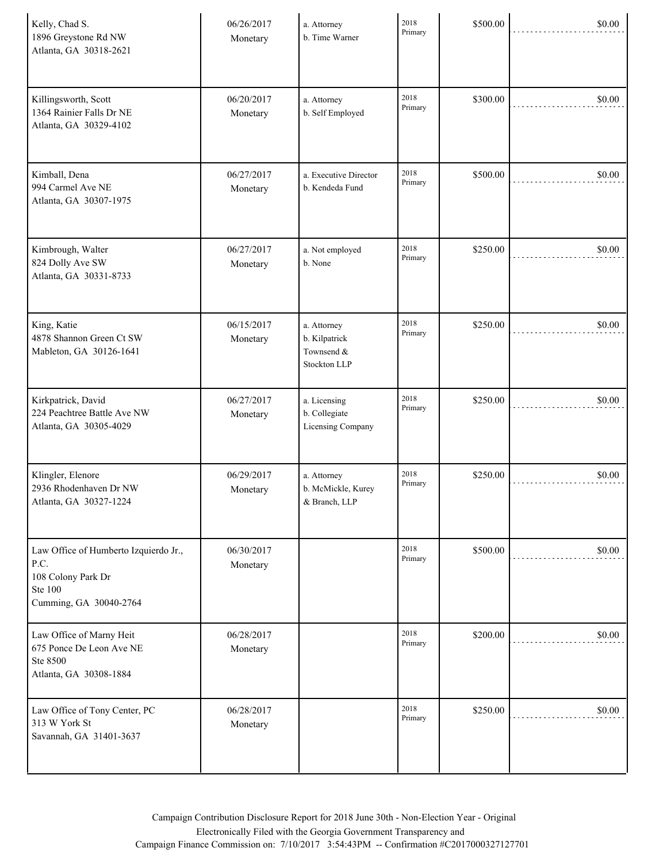| Kelly, Chad S.<br>1896 Greystone Rd NW<br>Atlanta, GA 30318-2621                                                | 06/26/2017<br>Monetary | a. Attorney<br>b. Time Warner                              | 2018<br>Primary | \$500.00 | \$0.00 |
|-----------------------------------------------------------------------------------------------------------------|------------------------|------------------------------------------------------------|-----------------|----------|--------|
| Killingsworth, Scott<br>1364 Rainier Falls Dr NE<br>Atlanta, GA 30329-4102                                      | 06/20/2017<br>Monetary | a. Attorney<br>b. Self Employed                            | 2018<br>Primary | \$300.00 | \$0.00 |
| Kimball, Dena<br>994 Carmel Ave NE<br>Atlanta, GA 30307-1975                                                    | 06/27/2017<br>Monetary | a. Executive Director<br>b. Kendeda Fund                   | 2018<br>Primary | \$500.00 | \$0.00 |
| Kimbrough, Walter<br>824 Dolly Ave SW<br>Atlanta, GA 30331-8733                                                 | 06/27/2017<br>Monetary | a. Not employed<br>b. None                                 | 2018<br>Primary | \$250.00 | \$0.00 |
| King, Katie<br>4878 Shannon Green Ct SW<br>Mableton, GA 30126-1641                                              | 06/15/2017<br>Monetary | a. Attorney<br>b. Kilpatrick<br>Townsend &<br>Stockton LLP | 2018<br>Primary | \$250.00 | \$0.00 |
| Kirkpatrick, David<br>224 Peachtree Battle Ave NW<br>Atlanta, GA 30305-4029                                     | 06/27/2017<br>Monetary | a. Licensing<br>b. Collegiate<br>Licensing Company         | 2018<br>Primary | \$250.00 | \$0.00 |
| Klingler, Elenore<br>2936 Rhodenhaven Dr NW<br>Atlanta, GA 30327-1224                                           | 06/29/2017<br>Monetary | a. Attorney<br>b. McMickle, Kurey<br>& Branch, LLP         | 2018<br>Primary | \$250.00 | \$0.00 |
| Law Office of Humberto Izquierdo Jr.,<br>P.C.<br>108 Colony Park Dr<br><b>Ste 100</b><br>Cumming, GA 30040-2764 | 06/30/2017<br>Monetary |                                                            | 2018<br>Primary | \$500.00 | \$0.00 |
| Law Office of Marny Heit<br>675 Ponce De Leon Ave NE<br>Ste 8500<br>Atlanta, GA 30308-1884                      | 06/28/2017<br>Monetary |                                                            | 2018<br>Primary | \$200.00 | \$0.00 |
| Law Office of Tony Center, PC<br>313 W York St<br>Savannah, GA 31401-3637                                       | 06/28/2017<br>Monetary |                                                            | 2018<br>Primary | \$250.00 | \$0.00 |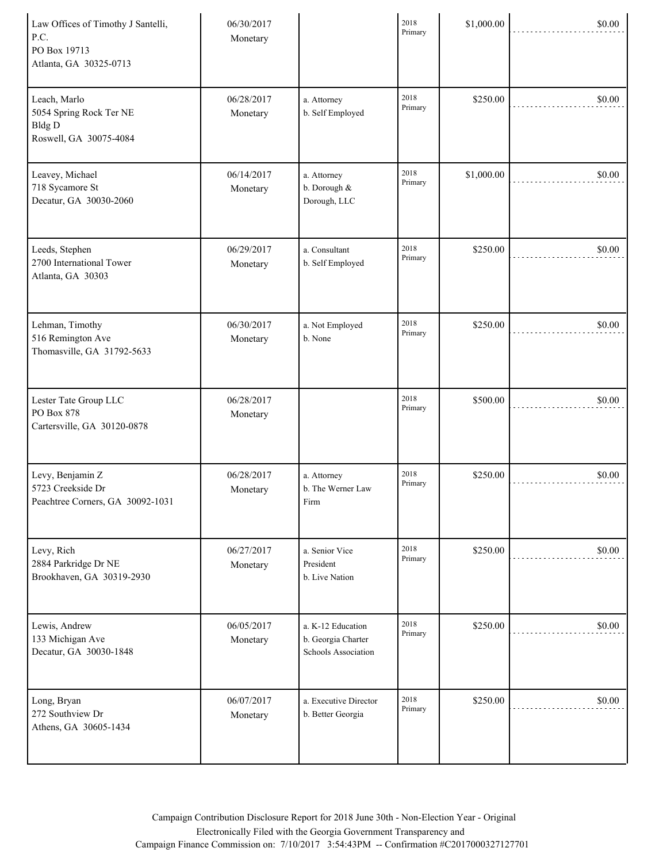| Law Offices of Timothy J Santelli,<br>P.C.<br>PO Box 19713<br>Atlanta, GA 30325-0713 | 06/30/2017<br>Monetary |                                                                | 2018<br>Primary | \$1,000.00 | \$0.00 |
|--------------------------------------------------------------------------------------|------------------------|----------------------------------------------------------------|-----------------|------------|--------|
| Leach, Marlo<br>5054 Spring Rock Ter NE<br><b>Bldg D</b><br>Roswell, GA 30075-4084   | 06/28/2017<br>Monetary | a. Attorney<br>b. Self Employed                                | 2018<br>Primary | \$250.00   | \$0.00 |
| Leavey, Michael<br>718 Sycamore St<br>Decatur, GA 30030-2060                         | 06/14/2017<br>Monetary | a. Attorney<br>b. Dorough &<br>Dorough, LLC                    | 2018<br>Primary | \$1,000.00 | \$0.00 |
| Leeds, Stephen<br>2700 International Tower<br>Atlanta, GA 30303                      | 06/29/2017<br>Monetary | a. Consultant<br>b. Self Employed                              | 2018<br>Primary | \$250.00   | \$0.00 |
| Lehman, Timothy<br>516 Remington Ave<br>Thomasville, GA 31792-5633                   | 06/30/2017<br>Monetary | a. Not Employed<br>b. None                                     | 2018<br>Primary | \$250.00   | \$0.00 |
| Lester Tate Group LLC<br>PO Box 878<br>Cartersville, GA 30120-0878                   | 06/28/2017<br>Monetary |                                                                | 2018<br>Primary | \$500.00   | \$0.00 |
| Levy, Benjamin Z<br>5723 Creekside Dr<br>Peachtree Corners, GA 30092-1031            | 06/28/2017<br>Monetary | a. Attorney<br>b. The Werner Law<br>Firm                       | 2018<br>Primary | \$250.00   | \$0.00 |
| Levy, Rich<br>2884 Parkridge Dr NE<br>Brookhaven, GA 30319-2930                      | 06/27/2017<br>Monetary | a. Senior Vice<br>President<br>b. Live Nation                  | 2018<br>Primary | \$250.00   | \$0.00 |
| Lewis, Andrew<br>133 Michigan Ave<br>Decatur, GA 30030-1848                          | 06/05/2017<br>Monetary | a. K-12 Education<br>b. Georgia Charter<br>Schools Association | 2018<br>Primary | \$250.00   | \$0.00 |
| Long, Bryan<br>272 Southview Dr<br>Athens, GA 30605-1434                             | 06/07/2017<br>Monetary | a. Executive Director<br>b. Better Georgia                     | 2018<br>Primary | \$250.00   | \$0.00 |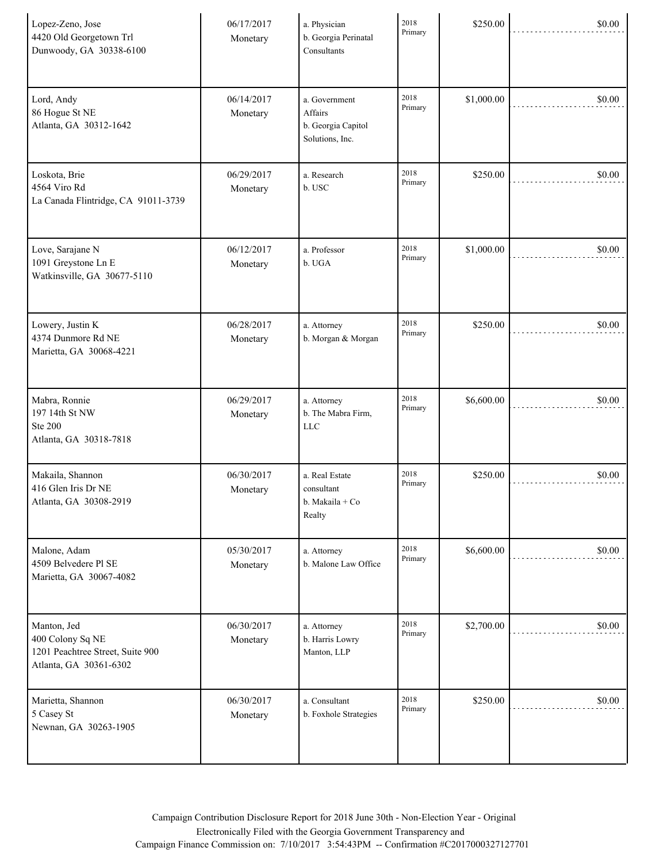| Lopez-Zeno, Jose<br>4420 Old Georgetown Trl<br>Dunwoody, GA 30338-6100                        | 06/17/2017<br>Monetary | a. Physician<br>b. Georgia Perinatal<br>Consultants               | 2018<br>Primary | \$250.00   | \$0.00 |
|-----------------------------------------------------------------------------------------------|------------------------|-------------------------------------------------------------------|-----------------|------------|--------|
| Lord, Andy<br>86 Hogue St NE<br>Atlanta, GA 30312-1642                                        | 06/14/2017<br>Monetary | a. Government<br>Affairs<br>b. Georgia Capitol<br>Solutions, Inc. | 2018<br>Primary | \$1,000.00 | \$0.00 |
| Loskota, Brie<br>4564 Viro Rd<br>La Canada Flintridge, CA 91011-3739                          | 06/29/2017<br>Monetary | a. Research<br>b. USC                                             | 2018<br>Primary | \$250.00   | \$0.00 |
| Love, Sarajane N<br>1091 Greystone Ln E<br>Watkinsville, GA 30677-5110                        | 06/12/2017<br>Monetary | a. Professor<br>b. UGA                                            | 2018<br>Primary | \$1,000.00 | \$0.00 |
| Lowery, Justin K<br>4374 Dunmore Rd NE<br>Marietta, GA 30068-4221                             | 06/28/2017<br>Monetary | a. Attorney<br>b. Morgan & Morgan                                 | 2018<br>Primary | \$250.00   | \$0.00 |
| Mabra, Ronnie<br>197 14th St NW<br><b>Ste 200</b><br>Atlanta, GA 30318-7818                   | 06/29/2017<br>Monetary | a. Attorney<br>b. The Mabra Firm,<br><b>LLC</b>                   | 2018<br>Primary | \$6,600.00 | \$0.00 |
| Makaila, Shannon<br>416 Glen Iris Dr NE<br>Atlanta, GA 30308-2919                             | 06/30/2017<br>Monetary | a. Real Estate<br>consultant<br>b. Makaila + Co<br>Realty         | 2018<br>Primary | \$250.00   | \$0.00 |
| Malone, Adam<br>4509 Belvedere Pl SE<br>Marietta, GA 30067-4082                               | 05/30/2017<br>Monetary | a. Attorney<br>b. Malone Law Office                               | 2018<br>Primary | \$6,600.00 | \$0.00 |
| Manton, Jed<br>400 Colony Sq NE<br>1201 Peachtree Street, Suite 900<br>Atlanta, GA 30361-6302 | 06/30/2017<br>Monetary | a. Attorney<br>b. Harris Lowry<br>Manton, LLP                     | 2018<br>Primary | \$2,700.00 | \$0.00 |
| Marietta, Shannon<br>5 Casey St<br>Newnan, GA 30263-1905                                      | 06/30/2017<br>Monetary | a. Consultant<br>b. Foxhole Strategies                            | 2018<br>Primary | \$250.00   | \$0.00 |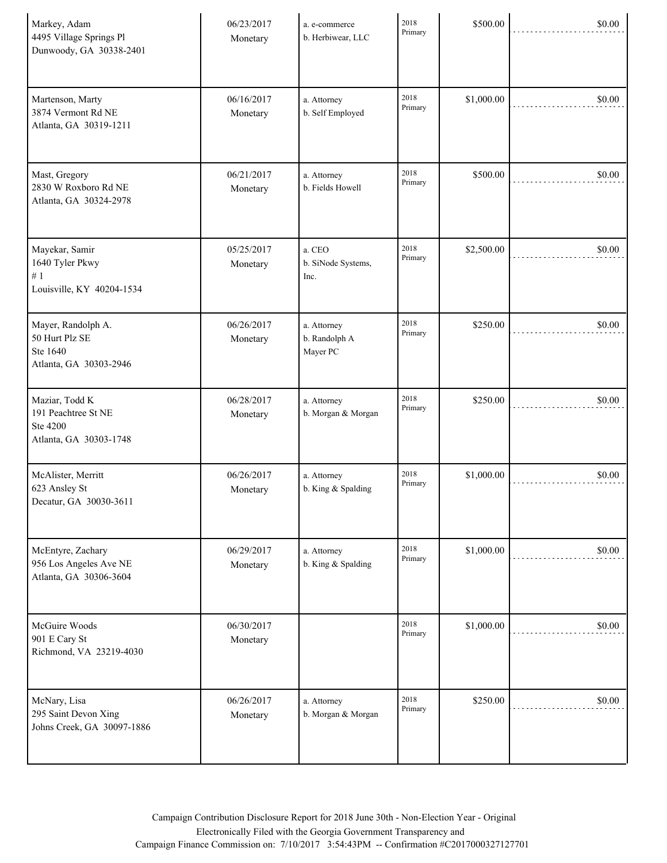| Markey, Adam<br>4495 Village Springs Pl<br>Dunwoody, GA 30338-2401          | 06/23/2017<br>Monetary | a. e-commerce<br>b. Herbiwear, LLC       | 2018<br>Primary | \$500.00   | \$0.00 |
|-----------------------------------------------------------------------------|------------------------|------------------------------------------|-----------------|------------|--------|
| Martenson, Marty<br>3874 Vermont Rd NE<br>Atlanta, GA 30319-1211            | 06/16/2017<br>Monetary | a. Attorney<br>b. Self Employed          | 2018<br>Primary | \$1,000.00 | \$0.00 |
| Mast, Gregory<br>2830 W Roxboro Rd NE<br>Atlanta, GA 30324-2978             | 06/21/2017<br>Monetary | a. Attorney<br>b. Fields Howell          | 2018<br>Primary | \$500.00   | \$0.00 |
| Mayekar, Samir<br>1640 Tyler Pkwy<br>$\#$ 1<br>Louisville, KY 40204-1534    | 05/25/2017<br>Monetary | a. CEO<br>b. SiNode Systems,<br>Inc.     | 2018<br>Primary | \$2,500.00 | \$0.00 |
| Mayer, Randolph A.<br>50 Hurt Plz SE<br>Ste 1640<br>Atlanta, GA 30303-2946  | 06/26/2017<br>Monetary | a. Attorney<br>b. Randolph A<br>Mayer PC | 2018<br>Primary | \$250.00   | \$0.00 |
| Maziar, Todd K<br>191 Peachtree St NE<br>Ste 4200<br>Atlanta, GA 30303-1748 | 06/28/2017<br>Monetary | a. Attorney<br>b. Morgan & Morgan        | 2018<br>Primary | \$250.00   | \$0.00 |
| McAlister, Merritt<br>623 Ansley St<br>Decatur, GA 30030-3611               | 06/26/2017<br>Monetary | a. Attorney<br>b. King & Spalding        | 2018<br>Primary | \$1,000.00 | \$0.00 |
| McEntyre, Zachary<br>956 Los Angeles Ave NE<br>Atlanta, GA 30306-3604       | 06/29/2017<br>Monetary | a. Attorney<br>b. King & Spalding        | 2018<br>Primary | \$1,000.00 | \$0.00 |
| McGuire Woods<br>901 E Cary St<br>Richmond, VA 23219-4030                   | 06/30/2017<br>Monetary |                                          | 2018<br>Primary | \$1,000.00 | \$0.00 |
| McNary, Lisa<br>295 Saint Devon Xing<br>Johns Creek, GA 30097-1886          | 06/26/2017<br>Monetary | a. Attorney<br>b. Morgan & Morgan        | 2018<br>Primary | \$250.00   | \$0.00 |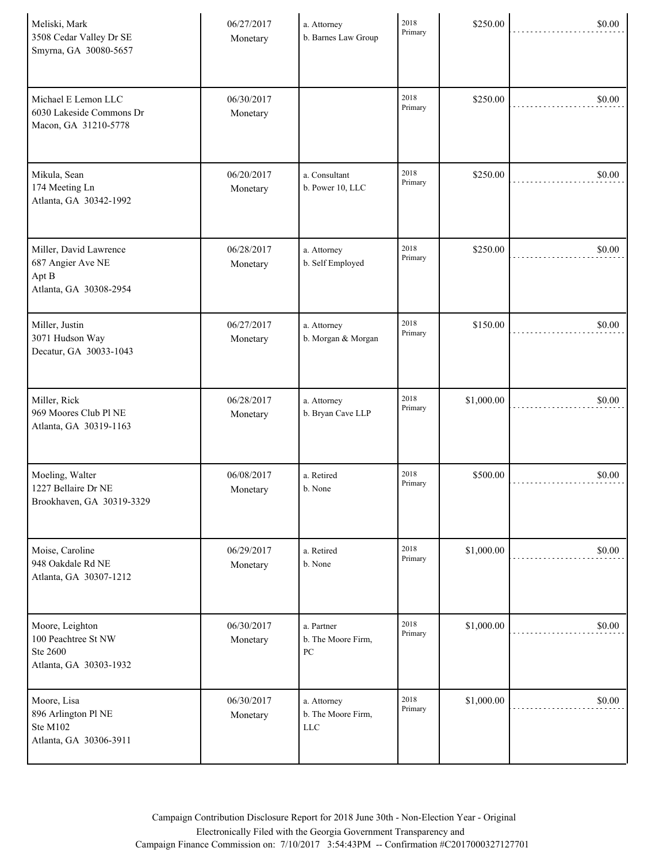| Meliski, Mark<br>3508 Cedar Valley Dr SE<br>Smyrna, GA 30080-5657              | 06/27/2017<br>Monetary | a. Attorney<br>b. Barnes Law Group                   | 2018<br>Primary | \$250.00   | \$0.00 |
|--------------------------------------------------------------------------------|------------------------|------------------------------------------------------|-----------------|------------|--------|
| Michael E Lemon LLC<br>6030 Lakeside Commons Dr<br>Macon, GA 31210-5778        | 06/30/2017<br>Monetary |                                                      | 2018<br>Primary | \$250.00   | \$0.00 |
| Mikula, Sean<br>174 Meeting Ln<br>Atlanta, GA 30342-1992                       | 06/20/2017<br>Monetary | a. Consultant<br>b. Power 10, LLC                    | 2018<br>Primary | \$250.00   | \$0.00 |
| Miller, David Lawrence<br>687 Angier Ave NE<br>Apt B<br>Atlanta, GA 30308-2954 | 06/28/2017<br>Monetary | a. Attorney<br>b. Self Employed                      | 2018<br>Primary | \$250.00   | \$0.00 |
| Miller, Justin<br>3071 Hudson Way<br>Decatur, GA 30033-1043                    | 06/27/2017<br>Monetary | a. Attorney<br>b. Morgan & Morgan                    | 2018<br>Primary | \$150.00   | \$0.00 |
| Miller, Rick<br>969 Moores Club Pl NE<br>Atlanta, GA 30319-1163                | 06/28/2017<br>Monetary | a. Attorney<br>b. Bryan Cave LLP                     | 2018<br>Primary | \$1,000.00 | \$0.00 |
| Moeling, Walter<br>1227 Bellaire Dr NE<br>Brookhaven, GA 30319-3329            | 06/08/2017<br>Monetary | a. Retired<br>b. None                                | 2018<br>Primary | \$500.00   | \$0.00 |
| Moise, Caroline<br>948 Oakdale Rd NE<br>Atlanta, GA 30307-1212                 | 06/29/2017<br>Monetary | a. Retired<br>b. None                                | 2018<br>Primary | \$1,000.00 | \$0.00 |
| Moore, Leighton<br>100 Peachtree St NW<br>Ste 2600<br>Atlanta, GA 30303-1932   | 06/30/2017<br>Monetary | a. Partner<br>b. The Moore Firm,<br>${\rm P}{\bf C}$ | 2018<br>Primary | \$1,000.00 | \$0.00 |
| Moore, Lisa<br>896 Arlington Pl NE<br>Ste M102<br>Atlanta, GA 30306-3911       | 06/30/2017<br>Monetary | a. Attorney<br>b. The Moore Firm,<br><b>LLC</b>      | 2018<br>Primary | \$1,000.00 | \$0.00 |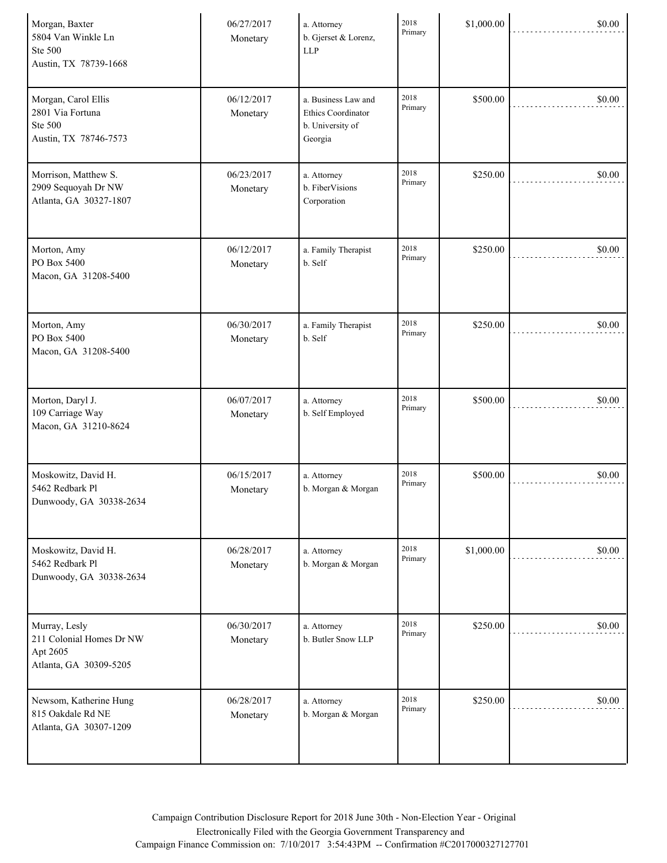| Morgan, Baxter<br>5804 Van Winkle Ln<br>Ste 500<br>Austin, TX 78739-1668        | 06/27/2017<br>Monetary | a. Attorney<br>b. Gjerset & Lorenz,<br><b>LLP</b>                        | 2018<br>Primary | \$1,000.00 | \$0.00 |
|---------------------------------------------------------------------------------|------------------------|--------------------------------------------------------------------------|-----------------|------------|--------|
| Morgan, Carol Ellis<br>2801 Via Fortuna<br>Ste 500<br>Austin, TX 78746-7573     | 06/12/2017<br>Monetary | a. Business Law and<br>Ethics Coordinator<br>b. University of<br>Georgia | 2018<br>Primary | \$500.00   | \$0.00 |
| Morrison, Matthew S.<br>2909 Sequoyah Dr NW<br>Atlanta, GA 30327-1807           | 06/23/2017<br>Monetary | a. Attorney<br>b. FiberVisions<br>Corporation                            | 2018<br>Primary | \$250.00   | \$0.00 |
| Morton, Amy<br>PO Box 5400<br>Macon, GA 31208-5400                              | 06/12/2017<br>Monetary | a. Family Therapist<br>b. Self                                           | 2018<br>Primary | \$250.00   | \$0.00 |
| Morton, Amy<br>PO Box 5400<br>Macon, GA 31208-5400                              | 06/30/2017<br>Monetary | a. Family Therapist<br>b. Self                                           | 2018<br>Primary | \$250.00   | \$0.00 |
| Morton, Daryl J.<br>109 Carriage Way<br>Macon, GA 31210-8624                    | 06/07/2017<br>Monetary | a. Attorney<br>b. Self Employed                                          | 2018<br>Primary | \$500.00   | \$0.00 |
| Moskowitz, David H.<br>5462 Redbark Pl<br>Dunwoody, GA 30338-2634               | 06/15/2017<br>Monetary | a. Attorney<br>b. Morgan & Morgan                                        | 2018<br>Primary | \$500.00   | \$0.00 |
| Moskowitz, David H.<br>5462 Redbark Pl<br>Dunwoody, GA 30338-2634               | 06/28/2017<br>Monetary | a. Attorney<br>b. Morgan & Morgan                                        | 2018<br>Primary | \$1,000.00 | \$0.00 |
| Murray, Lesly<br>211 Colonial Homes Dr NW<br>Apt 2605<br>Atlanta, GA 30309-5205 | 06/30/2017<br>Monetary | a. Attorney<br>b. Butler Snow LLP                                        | 2018<br>Primary | \$250.00   | \$0.00 |
| Newsom, Katherine Hung<br>815 Oakdale Rd NE<br>Atlanta, GA 30307-1209           | 06/28/2017<br>Monetary | a. Attorney<br>b. Morgan & Morgan                                        | 2018<br>Primary | \$250.00   | \$0.00 |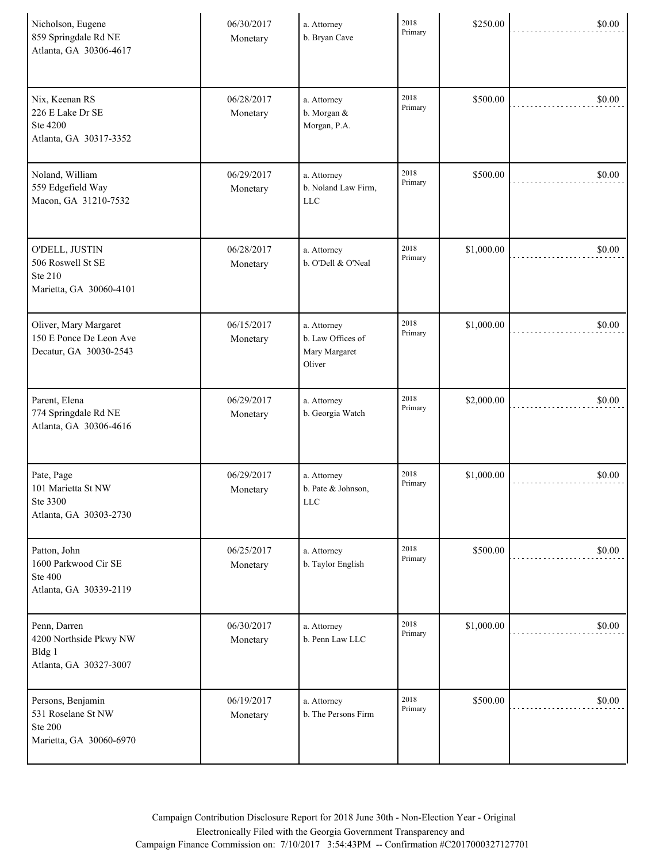| Nicholson, Eugene<br>859 Springdale Rd NE<br>Atlanta, GA 30306-4617                  | 06/30/2017<br>Monetary | a. Attorney<br>b. Bryan Cave                                | 2018<br>Primary | \$250.00   | \$0.00 |
|--------------------------------------------------------------------------------------|------------------------|-------------------------------------------------------------|-----------------|------------|--------|
| Nix, Keenan RS<br>226 E Lake Dr SE<br>Ste 4200<br>Atlanta, GA 30317-3352             | 06/28/2017<br>Monetary | a. Attorney<br>b. Morgan $\&$<br>Morgan, P.A.               | 2018<br>Primary | \$500.00   | \$0.00 |
| Noland, William<br>559 Edgefield Way<br>Macon, GA 31210-7532                         | 06/29/2017<br>Monetary | a. Attorney<br>b. Noland Law Firm,<br><b>LLC</b>            | 2018<br>Primary | \$500.00   | \$0.00 |
| O'DELL, JUSTIN<br>506 Roswell St SE<br>Ste 210<br>Marietta, GA 30060-4101            | 06/28/2017<br>Monetary | a. Attorney<br>b. O'Dell & O'Neal                           | 2018<br>Primary | \$1,000.00 | \$0.00 |
| Oliver, Mary Margaret<br>150 E Ponce De Leon Ave<br>Decatur, GA 30030-2543           | 06/15/2017<br>Monetary | a. Attorney<br>b. Law Offices of<br>Mary Margaret<br>Oliver | 2018<br>Primary | \$1,000.00 | \$0.00 |
| Parent, Elena<br>774 Springdale Rd NE<br>Atlanta, GA 30306-4616                      | 06/29/2017<br>Monetary | a. Attorney<br>b. Georgia Watch                             | 2018<br>Primary | \$2,000.00 | \$0.00 |
| Pate, Page<br>101 Marietta St NW<br>Ste 3300<br>Atlanta, GA 30303-2730               | 06/29/2017<br>Monetary | a. Attorney<br>b. Pate & Johnson,<br>LLC                    | 2018<br>Primary | \$1,000.00 | \$0.00 |
| Patton, John<br>1600 Parkwood Cir SE<br><b>Ste 400</b><br>Atlanta, GA 30339-2119     | 06/25/2017<br>Monetary | a. Attorney<br>b. Taylor English                            | 2018<br>Primary | \$500.00   | \$0.00 |
| Penn, Darren<br>4200 Northside Pkwy NW<br>Bldg 1<br>Atlanta, GA 30327-3007           | 06/30/2017<br>Monetary | a. Attorney<br>b. Penn Law LLC                              | 2018<br>Primary | \$1,000.00 | \$0.00 |
| Persons, Benjamin<br>531 Roselane St NW<br><b>Ste 200</b><br>Marietta, GA 30060-6970 | 06/19/2017<br>Monetary | a. Attorney<br>b. The Persons Firm                          | 2018<br>Primary | \$500.00   | \$0.00 |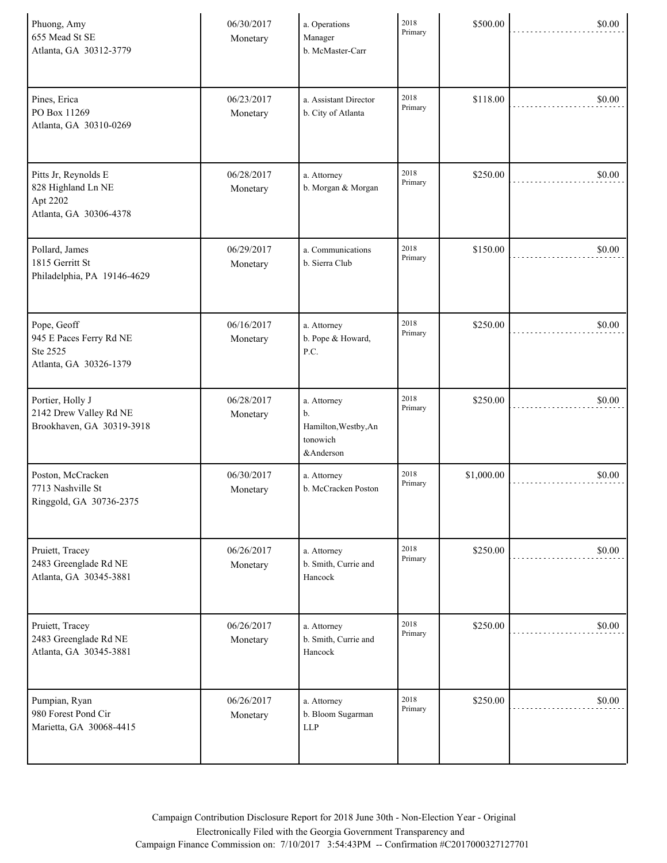| Phuong, Amy<br>655 Mead St SE<br>Atlanta, GA 30312-3779                          | 06/30/2017<br>Monetary | a. Operations<br>Manager<br>b. McMaster-Carr                       | 2018<br>Primary | \$500.00   | \$0.00 |
|----------------------------------------------------------------------------------|------------------------|--------------------------------------------------------------------|-----------------|------------|--------|
| Pines, Erica<br>PO Box 11269<br>Atlanta, GA 30310-0269                           | 06/23/2017<br>Monetary | a. Assistant Director<br>b. City of Atlanta                        | 2018<br>Primary | \$118.00   | \$0.00 |
| Pitts Jr, Reynolds E<br>828 Highland Ln NE<br>Apt 2202<br>Atlanta, GA 30306-4378 | 06/28/2017<br>Monetary | a. Attorney<br>b. Morgan & Morgan                                  | 2018<br>Primary | \$250.00   | \$0.00 |
| Pollard, James<br>1815 Gerritt St<br>Philadelphia, PA 19146-4629                 | 06/29/2017<br>Monetary | a. Communications<br>b. Sierra Club                                | 2018<br>Primary | \$150.00   | \$0.00 |
| Pope, Geoff<br>945 E Paces Ferry Rd NE<br>Ste 2525<br>Atlanta, GA 30326-1379     | 06/16/2017<br>Monetary | a. Attorney<br>b. Pope & Howard,<br>P.C.                           | 2018<br>Primary | \$250.00   | \$0.00 |
| Portier, Holly J<br>2142 Drew Valley Rd NE<br>Brookhaven, GA 30319-3918          | 06/28/2017<br>Monetary | a. Attorney<br>b.<br>Hamilton, Westby, An<br>tonowich<br>&Anderson | 2018<br>Primary | \$250.00   | \$0.00 |
| Poston, McCracken<br>7713 Nashville St<br>Ringgold, GA 30736-2375                | 06/30/2017<br>Monetary | a. Attorney<br>b. McCracken Poston                                 | 2018<br>Primary | \$1,000.00 | \$0.00 |
| Pruiett, Tracey<br>2483 Greenglade Rd NE<br>Atlanta, GA 30345-3881               | 06/26/2017<br>Monetary | a. Attorney<br>b. Smith, Currie and<br>Hancock                     | 2018<br>Primary | \$250.00   | \$0.00 |
| Pruiett, Tracey<br>2483 Greenglade Rd NE<br>Atlanta, GA 30345-3881               | 06/26/2017<br>Monetary | a. Attorney<br>b. Smith, Currie and<br>Hancock                     | 2018<br>Primary | \$250.00   | \$0.00 |
| Pumpian, Ryan<br>980 Forest Pond Cir<br>Marietta, GA 30068-4415                  | 06/26/2017<br>Monetary | a. Attorney<br>b. Bloom Sugarman<br><b>LLP</b>                     | 2018<br>Primary | \$250.00   | \$0.00 |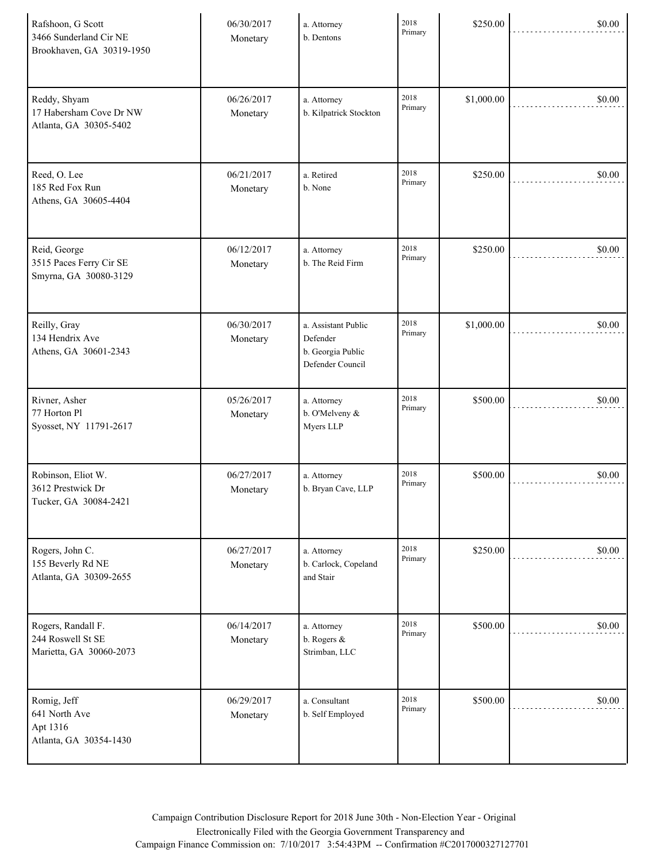| Rafshoon, G Scott<br>3466 Sunderland Cir NE<br>Brookhaven, GA 30319-1950 | 06/30/2017<br>Monetary | a. Attorney<br>b. Dentons                                                | 2018<br>Primary | \$250.00   | \$0.00 |
|--------------------------------------------------------------------------|------------------------|--------------------------------------------------------------------------|-----------------|------------|--------|
| Reddy, Shyam<br>17 Habersham Cove Dr NW<br>Atlanta, GA 30305-5402        | 06/26/2017<br>Monetary | a. Attorney<br>b. Kilpatrick Stockton                                    | 2018<br>Primary | \$1,000.00 | \$0.00 |
| Reed, O. Lee<br>185 Red Fox Run<br>Athens, GA 30605-4404                 | 06/21/2017<br>Monetary | a. Retired<br>b. None                                                    | 2018<br>Primary | \$250.00   | \$0.00 |
| Reid, George<br>3515 Paces Ferry Cir SE<br>Smyrna, GA 30080-3129         | 06/12/2017<br>Monetary | a. Attorney<br>b. The Reid Firm                                          | 2018<br>Primary | \$250.00   | \$0.00 |
| Reilly, Gray<br>134 Hendrix Ave<br>Athens, GA 30601-2343                 | 06/30/2017<br>Monetary | a. Assistant Public<br>Defender<br>b. Georgia Public<br>Defender Council | 2018<br>Primary | \$1,000.00 | \$0.00 |
| Rivner, Asher<br>77 Horton Pl<br>Syosset, NY 11791-2617                  | 05/26/2017<br>Monetary | a. Attorney<br>b. O'Melveny &<br>Myers LLP                               | 2018<br>Primary | \$500.00   | \$0.00 |
| Robinson, Eliot W.<br>3612 Prestwick Dr<br>Tucker, GA 30084-2421         | 06/27/2017<br>Monetary | a. Attorney<br>b. Bryan Cave, LLP                                        | 2018<br>Primary | \$500.00   | \$0.00 |
| Rogers, John C.<br>155 Beverly Rd NE<br>Atlanta, GA 30309-2655           | 06/27/2017<br>Monetary | a. Attorney<br>b. Carlock, Copeland<br>and Stair                         | 2018<br>Primary | \$250.00   | \$0.00 |
| Rogers, Randall F.<br>244 Roswell St SE<br>Marietta, GA 30060-2073       | 06/14/2017<br>Monetary | a. Attorney<br>b. Rogers &<br>Strimban, LLC                              | 2018<br>Primary | \$500.00   | \$0.00 |
| Romig, Jeff<br>641 North Ave<br>Apt 1316<br>Atlanta, GA 30354-1430       | 06/29/2017<br>Monetary | a. Consultant<br>b. Self Employed                                        | 2018<br>Primary | \$500.00   | \$0.00 |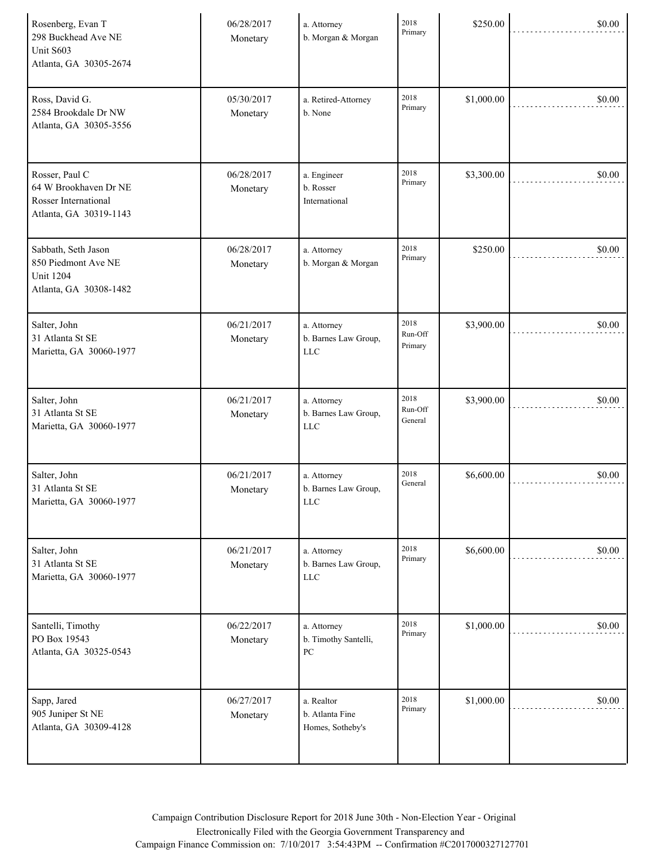| Rosenberg, Evan T<br>298 Buckhead Ave NE<br>Unit S603<br>Atlanta, GA 30305-2674           | 06/28/2017<br>Monetary | a. Attorney<br>b. Morgan & Morgan                       | 2018<br>Primary            | \$250.00   | \$0.00 |
|-------------------------------------------------------------------------------------------|------------------------|---------------------------------------------------------|----------------------------|------------|--------|
| Ross, David G.<br>2584 Brookdale Dr NW<br>Atlanta, GA 30305-3556                          | 05/30/2017<br>Monetary | a. Retired-Attorney<br>b. None                          | 2018<br>Primary            | \$1,000.00 | \$0.00 |
| Rosser, Paul C<br>64 W Brookhaven Dr NE<br>Rosser International<br>Atlanta, GA 30319-1143 | 06/28/2017<br>Monetary | a. Engineer<br>b. Rosser<br>International               | 2018<br>Primary            | \$3,300.00 | \$0.00 |
| Sabbath, Seth Jason<br>850 Piedmont Ave NE<br><b>Unit 1204</b><br>Atlanta, GA 30308-1482  | 06/28/2017<br>Monetary | a. Attorney<br>b. Morgan & Morgan                       | 2018<br>Primary            | \$250.00   | \$0.00 |
| Salter, John<br>31 Atlanta St SE<br>Marietta, GA 30060-1977                               | 06/21/2017<br>Monetary | a. Attorney<br>b. Barnes Law Group,<br><b>LLC</b>       | 2018<br>Run-Off<br>Primary | \$3,900.00 | \$0.00 |
| Salter, John<br>31 Atlanta St SE<br>Marietta, GA 30060-1977                               | 06/21/2017<br>Monetary | a. Attorney<br>b. Barnes Law Group,<br><b>LLC</b>       | 2018<br>Run-Off<br>General | \$3,900.00 | \$0.00 |
| Salter, John<br>31 Atlanta St SE<br>Marietta, GA 30060-1977                               | 06/21/2017<br>Monetary | a. Attorney<br>b. Barnes Law Group,<br><b>LLC</b>       | 2018<br>General            | \$6,600.00 | \$0.00 |
| Salter, John<br>31 Atlanta St SE<br>Marietta, GA 30060-1977                               | 06/21/2017<br>Monetary | a. Attorney<br>b. Barnes Law Group,<br><b>LLC</b>       | 2018<br>Primary            | \$6,600.00 | \$0.00 |
| Santelli, Timothy<br>PO Box 19543<br>Atlanta, GA 30325-0543                               | 06/22/2017<br>Monetary | a. Attorney<br>b. Timothy Santelli,<br>${\rm P}{\bf C}$ | 2018<br>Primary            | \$1,000.00 | \$0.00 |
| Sapp, Jared<br>905 Juniper St NE<br>Atlanta, GA 30309-4128                                | 06/27/2017<br>Monetary | a. Realtor<br>b. Atlanta Fine<br>Homes, Sotheby's       | 2018<br>Primary            | \$1,000.00 | \$0.00 |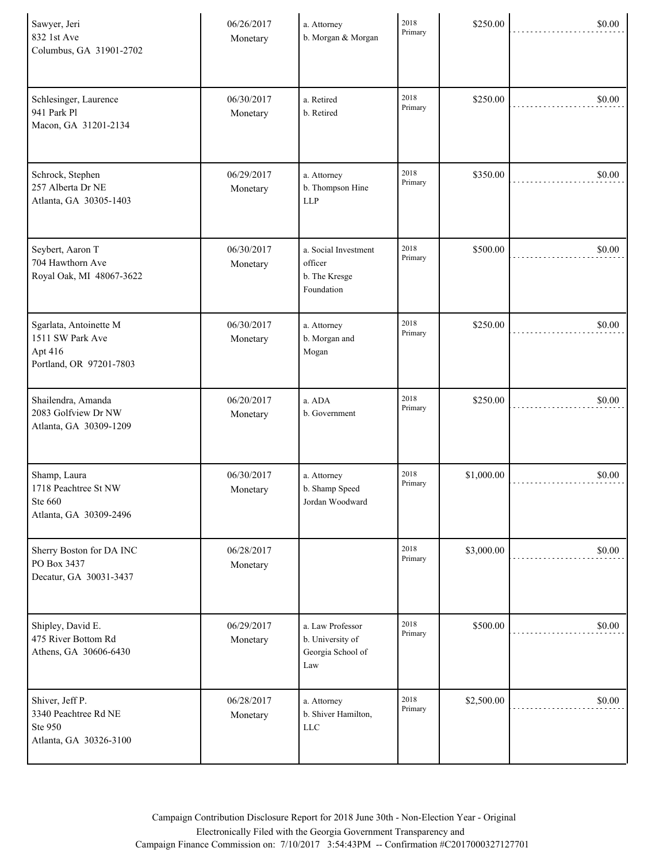| Sawyer, Jeri<br>832 1st Ave<br>Columbus, GA 31901-2702                           | 06/26/2017<br>Monetary | a. Attorney<br>b. Morgan & Morgan                                | 2018<br>Primary | \$250.00   | \$0.00 |
|----------------------------------------------------------------------------------|------------------------|------------------------------------------------------------------|-----------------|------------|--------|
| Schlesinger, Laurence<br>941 Park Pl<br>Macon, GA 31201-2134                     | 06/30/2017<br>Monetary | a. Retired<br>b. Retired                                         | 2018<br>Primary | \$250.00   | \$0.00 |
| Schrock, Stephen<br>257 Alberta Dr NE<br>Atlanta, GA 30305-1403                  | 06/29/2017<br>Monetary | a. Attorney<br>b. Thompson Hine<br><b>LLP</b>                    | 2018<br>Primary | \$350.00   | \$0.00 |
| Seybert, Aaron T<br>704 Hawthorn Ave<br>Royal Oak, MI 48067-3622                 | 06/30/2017<br>Monetary | a. Social Investment<br>officer<br>b. The Kresge<br>Foundation   | 2018<br>Primary | \$500.00   | \$0.00 |
| Sgarlata, Antoinette M<br>1511 SW Park Ave<br>Apt 416<br>Portland, OR 97201-7803 | 06/30/2017<br>Monetary | a. Attorney<br>b. Morgan and<br>Mogan                            | 2018<br>Primary | \$250.00   | \$0.00 |
| Shailendra, Amanda<br>2083 Golfview Dr NW<br>Atlanta, GA 30309-1209              | 06/20/2017<br>Monetary | a. ADA<br>b. Government                                          | 2018<br>Primary | \$250.00   | \$0.00 |
| Shamp, Laura<br>1718 Peachtree St NW<br>Ste 660<br>Atlanta, GA 30309-2496        | 06/30/2017<br>Monetary | a. Attorney<br>b. Shamp Speed<br>Jordan Woodward                 | 2018<br>Primary | \$1,000.00 | \$0.00 |
| Sherry Boston for DA INC<br>PO Box 3437<br>Decatur, GA 30031-3437                | 06/28/2017<br>Monetary |                                                                  | 2018<br>Primary | \$3,000.00 | \$0.00 |
| Shipley, David E.<br>475 River Bottom Rd<br>Athens, GA 30606-6430                | 06/29/2017<br>Monetary | a. Law Professor<br>b. University of<br>Georgia School of<br>Law | 2018<br>Primary | \$500.00   | \$0.00 |
| Shiver, Jeff P.<br>3340 Peachtree Rd NE<br>Ste 950<br>Atlanta, GA 30326-3100     | 06/28/2017<br>Monetary | a. Attorney<br>b. Shiver Hamilton,<br><b>LLC</b>                 | 2018<br>Primary | \$2,500.00 | \$0.00 |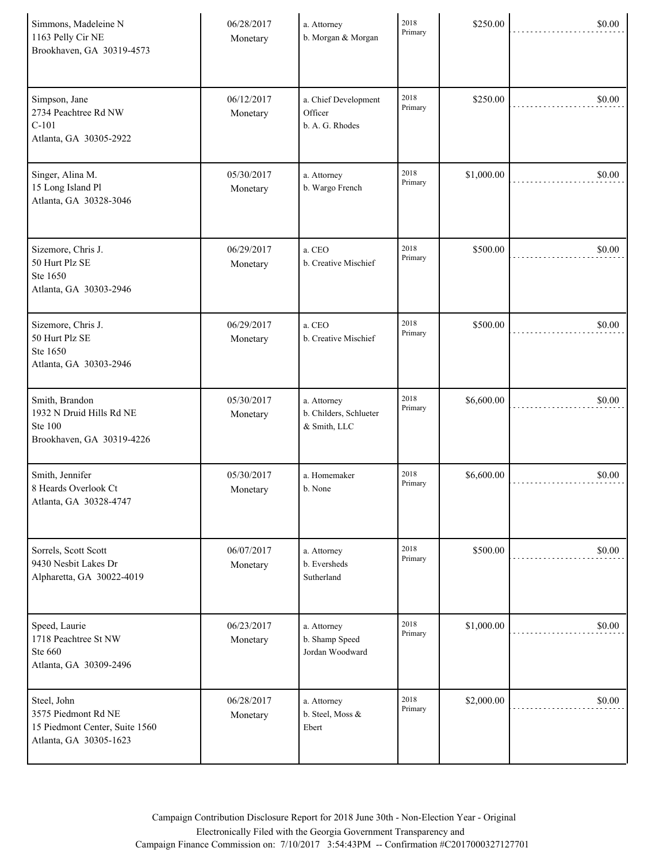| Simmons, Madeleine N<br>1163 Pelly Cir NE<br>Brookhaven, GA 30319-4573                         | 06/28/2017<br>Monetary | a. Attorney<br>b. Morgan & Morgan                     | 2018<br>Primary | \$250.00   | \$0.00 |
|------------------------------------------------------------------------------------------------|------------------------|-------------------------------------------------------|-----------------|------------|--------|
| Simpson, Jane<br>2734 Peachtree Rd NW<br>$C-101$<br>Atlanta, GA 30305-2922                     | 06/12/2017<br>Monetary | a. Chief Development<br>Officer<br>b. A. G. Rhodes    | 2018<br>Primary | \$250.00   | \$0.00 |
| Singer, Alina M.<br>15 Long Island Pl<br>Atlanta, GA 30328-3046                                | 05/30/2017<br>Monetary | a. Attorney<br>b. Wargo French                        | 2018<br>Primary | \$1,000.00 | \$0.00 |
| Sizemore, Chris J.<br>50 Hurt Plz SE<br>Ste 1650<br>Atlanta, GA 30303-2946                     | 06/29/2017<br>Monetary | a. CEO<br>b. Creative Mischief                        | 2018<br>Primary | \$500.00   | \$0.00 |
| Sizemore, Chris J.<br>50 Hurt Plz SE<br>Ste 1650<br>Atlanta, GA 30303-2946                     | 06/29/2017<br>Monetary | a. CEO<br>b. Creative Mischief                        | 2018<br>Primary | \$500.00   | \$0.00 |
| Smith, Brandon<br>1932 N Druid Hills Rd NE<br><b>Ste 100</b><br>Brookhaven, GA 30319-4226      | 05/30/2017<br>Monetary | a. Attorney<br>b. Childers, Schlueter<br>& Smith, LLC | 2018<br>Primary | \$6,600.00 | \$0.00 |
| Smith, Jennifer<br>8 Heards Overlook Ct<br>Atlanta, GA 30328-4747                              | 05/30/2017<br>Monetary | a. Homemaker<br>b. None                               | 2018<br>Primary | \$6,600.00 | \$0.00 |
| Sorrels, Scott Scott<br>9430 Nesbit Lakes Dr<br>Alpharetta, GA 30022-4019                      | 06/07/2017<br>Monetary | a. Attorney<br>b. Eversheds<br>Sutherland             | 2018<br>Primary | \$500.00   | \$0.00 |
| Speed, Laurie<br>1718 Peachtree St NW<br>Ste 660<br>Atlanta, GA 30309-2496                     | 06/23/2017<br>Monetary | a. Attorney<br>b. Shamp Speed<br>Jordan Woodward      | 2018<br>Primary | \$1,000.00 | \$0.00 |
| Steel, John<br>3575 Piedmont Rd NE<br>15 Piedmont Center, Suite 1560<br>Atlanta, GA 30305-1623 | 06/28/2017<br>Monetary | a. Attorney<br>b. Steel, Moss &<br>Ebert              | 2018<br>Primary | \$2,000.00 | \$0.00 |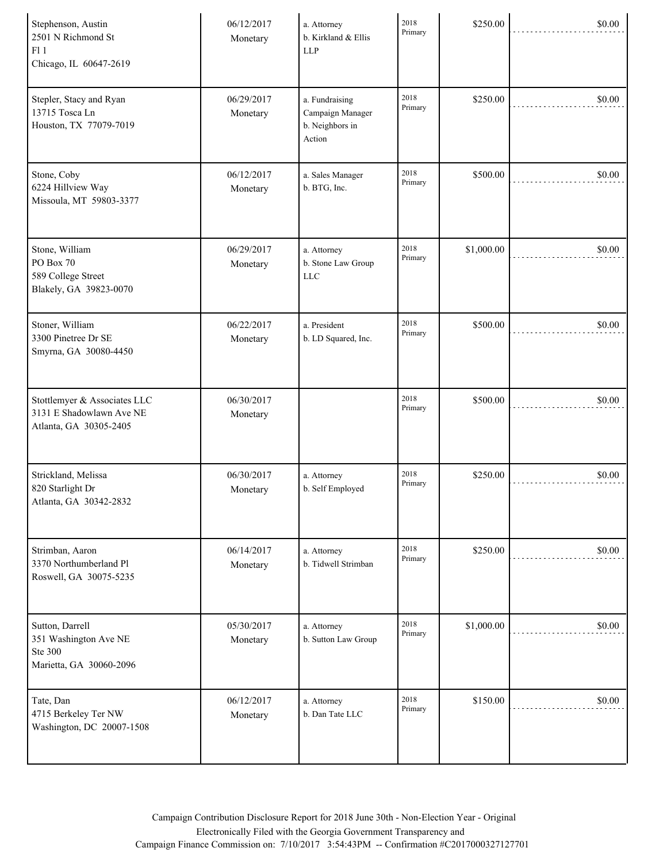| Stephenson, Austin<br>2501 N Richmond St<br>F11<br>Chicago, IL 60647-2619             | 06/12/2017<br>Monetary | a. Attorney<br>b. Kirkland & Ellis<br><b>LLP</b>                | 2018<br>Primary | \$250.00   | \$0.00 |
|---------------------------------------------------------------------------------------|------------------------|-----------------------------------------------------------------|-----------------|------------|--------|
| Stepler, Stacy and Ryan<br>13715 Tosca Ln<br>Houston, TX 77079-7019                   | 06/29/2017<br>Monetary | a. Fundraising<br>Campaign Manager<br>b. Neighbors in<br>Action | 2018<br>Primary | \$250.00   | \$0.00 |
| Stone, Coby<br>6224 Hillview Way<br>Missoula, MT 59803-3377                           | 06/12/2017<br>Monetary | a. Sales Manager<br>b. BTG, Inc.                                | 2018<br>Primary | \$500.00   | \$0.00 |
| Stone, William<br>PO Box 70<br>589 College Street<br>Blakely, GA 39823-0070           | 06/29/2017<br>Monetary | a. Attorney<br>b. Stone Law Group<br><b>LLC</b>                 | 2018<br>Primary | \$1,000.00 | \$0.00 |
| Stoner, William<br>3300 Pinetree Dr SE<br>Smyrna, GA 30080-4450                       | 06/22/2017<br>Monetary | a. President<br>b. LD Squared, Inc.                             | 2018<br>Primary | \$500.00   | \$0.00 |
| Stottlemyer & Associates LLC<br>3131 E Shadowlawn Ave NE<br>Atlanta, GA 30305-2405    | 06/30/2017<br>Monetary |                                                                 | 2018<br>Primary | \$500.00   | \$0.00 |
| Strickland, Melissa<br>820 Starlight Dr<br>Atlanta, GA 30342-2832                     | 06/30/2017<br>Monetary | a. Attorney<br>b. Self Employed                                 | 2018<br>Primary | \$250.00   | \$0.00 |
| Strimban, Aaron<br>3370 Northumberland Pl<br>Roswell, GA 30075-5235                   | 06/14/2017<br>Monetary | a. Attorney<br>b. Tidwell Strimban                              | 2018<br>Primary | \$250.00   | \$0.00 |
| Sutton, Darrell<br>351 Washington Ave NE<br><b>Ste 300</b><br>Marietta, GA 30060-2096 | 05/30/2017<br>Monetary | a. Attorney<br>b. Sutton Law Group                              | 2018<br>Primary | \$1,000.00 | \$0.00 |
| Tate, Dan<br>4715 Berkeley Ter NW<br>Washington, DC 20007-1508                        | 06/12/2017<br>Monetary | a. Attorney<br>b. Dan Tate LLC                                  | 2018<br>Primary | \$150.00   | \$0.00 |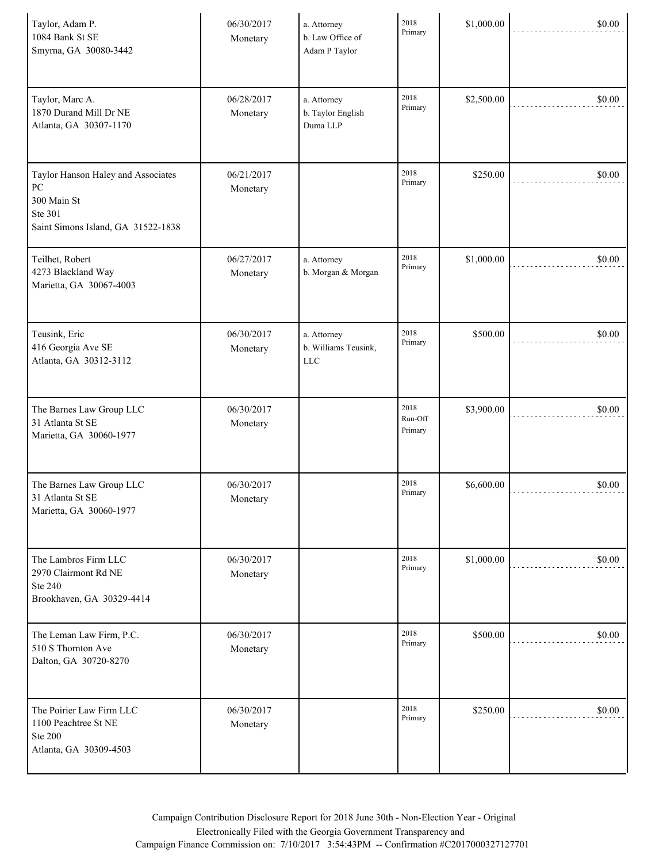| Taylor, Adam P.<br>1084 Bank St SE<br>Smyrna, GA 30080-3442                                              | 06/30/2017<br>Monetary | a. Attorney<br>b. Law Office of<br>Adam P Taylor | 2018<br>Primary            | \$1,000.00 | \$0.00 |
|----------------------------------------------------------------------------------------------------------|------------------------|--------------------------------------------------|----------------------------|------------|--------|
| Taylor, Marc A.<br>1870 Durand Mill Dr NE<br>Atlanta, GA 30307-1170                                      | 06/28/2017<br>Monetary | a. Attorney<br>b. Taylor English<br>Duma LLP     | 2018<br>Primary            | \$2,500.00 | \$0.00 |
| Taylor Hanson Haley and Associates<br>PC<br>300 Main St<br>Ste 301<br>Saint Simons Island, GA 31522-1838 | 06/21/2017<br>Monetary |                                                  | 2018<br>Primary            | \$250.00   | \$0.00 |
| Teilhet, Robert<br>4273 Blackland Way<br>Marietta, GA 30067-4003                                         | 06/27/2017<br>Monetary | a. Attorney<br>b. Morgan & Morgan                | 2018<br>Primary            | \$1,000.00 | \$0.00 |
| Teusink, Eric<br>416 Georgia Ave SE<br>Atlanta, GA 30312-3112                                            | 06/30/2017<br>Monetary | a. Attorney<br>b. Williams Teusink,<br>LLC       | 2018<br>Primary            | \$500.00   | \$0.00 |
| The Barnes Law Group LLC<br>31 Atlanta St SE<br>Marietta, GA 30060-1977                                  | 06/30/2017<br>Monetary |                                                  | 2018<br>Run-Off<br>Primary | \$3,900.00 | \$0.00 |
| The Barnes Law Group LLC<br>31 Atlanta St SE<br>Marietta, GA 30060-1977                                  | 06/30/2017<br>Monetary |                                                  | 2018<br>Primary            | \$6,600.00 | \$0.00 |
| The Lambros Firm LLC<br>2970 Clairmont Rd NE<br><b>Ste 240</b><br>Brookhaven, GA 30329-4414              | 06/30/2017<br>Monetary |                                                  | 2018<br>Primary            | \$1,000.00 | \$0.00 |
| The Leman Law Firm, P.C.<br>510 S Thornton Ave<br>Dalton, GA 30720-8270                                  | 06/30/2017<br>Monetary |                                                  | 2018<br>Primary            | \$500.00   | \$0.00 |
| The Poirier Law Firm LLC<br>1100 Peachtree St NE<br><b>Ste 200</b><br>Atlanta, GA 30309-4503             | 06/30/2017<br>Monetary |                                                  | 2018<br>Primary            | \$250.00   | \$0.00 |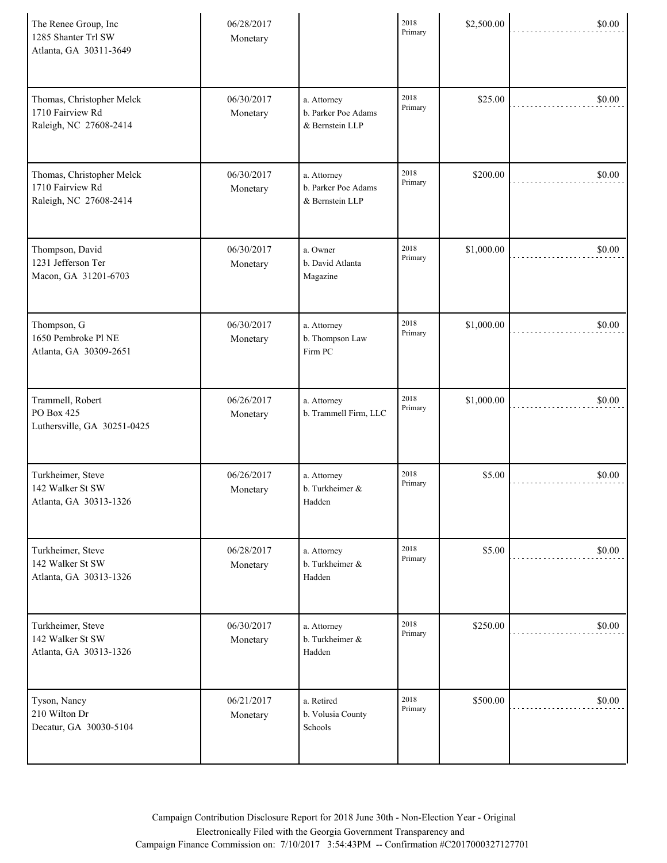| The Renee Group, Inc<br>1285 Shanter Trl SW<br>Atlanta, GA 30311-3649   | 06/28/2017<br>Monetary |                                                       | 2018<br>Primary | \$2,500.00 | \$0.00 |
|-------------------------------------------------------------------------|------------------------|-------------------------------------------------------|-----------------|------------|--------|
| Thomas, Christopher Melck<br>1710 Fairview Rd<br>Raleigh, NC 27608-2414 | 06/30/2017<br>Monetary | a. Attorney<br>b. Parker Poe Adams<br>& Bernstein LLP | 2018<br>Primary | \$25.00    | \$0.00 |
| Thomas, Christopher Melck<br>1710 Fairview Rd<br>Raleigh, NC 27608-2414 | 06/30/2017<br>Monetary | a. Attorney<br>b. Parker Poe Adams<br>& Bernstein LLP | 2018<br>Primary | \$200.00   | \$0.00 |
| Thompson, David<br>1231 Jefferson Ter<br>Macon, GA 31201-6703           | 06/30/2017<br>Monetary | a. Owner<br>b. David Atlanta<br>Magazine              | 2018<br>Primary | \$1,000.00 | \$0.00 |
| Thompson, G<br>1650 Pembroke Pl NE<br>Atlanta, GA 30309-2651            | 06/30/2017<br>Monetary | a. Attorney<br>b. Thompson Law<br>Firm PC             | 2018<br>Primary | \$1,000.00 | \$0.00 |
| Trammell, Robert<br>PO Box 425<br>Luthersville, GA 30251-0425           | 06/26/2017<br>Monetary | a. Attorney<br>b. Trammell Firm, LLC                  | 2018<br>Primary | \$1,000.00 | \$0.00 |
| Turkheimer, Steve<br>142 Walker St SW<br>Atlanta, GA 30313-1326         | 06/26/2017<br>Monetary | a. Attorney<br>b. Turkheimer &<br>Hadden              | 2018<br>Primary | \$5.00     | \$0.00 |
| Turkheimer, Steve<br>142 Walker St SW<br>Atlanta, GA 30313-1326         | 06/28/2017<br>Monetary | a. Attorney<br>b. Turkheimer &<br>Hadden              | 2018<br>Primary | \$5.00     | \$0.00 |
| Turkheimer, Steve<br>142 Walker St SW<br>Atlanta, GA 30313-1326         | 06/30/2017<br>Monetary | a. Attorney<br>b. Turkheimer &<br>Hadden              | 2018<br>Primary | \$250.00   | \$0.00 |
| Tyson, Nancy<br>210 Wilton Dr<br>Decatur, GA 30030-5104                 | 06/21/2017<br>Monetary | a. Retired<br>b. Volusia County<br>Schools            | 2018<br>Primary | \$500.00   | \$0.00 |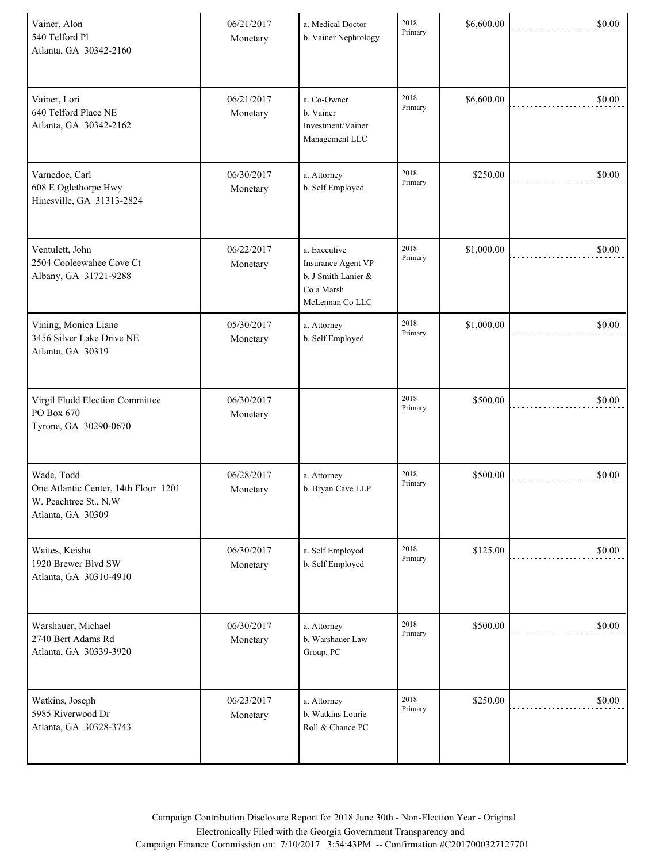| Vainer, Alon<br>540 Telford Pl<br>Atlanta, GA 30342-2160                                         | 06/21/2017<br>Monetary | a. Medical Doctor<br>b. Vainer Nephrology                                                  | 2018<br>Primary | \$6,600.00 | \$0.00 |
|--------------------------------------------------------------------------------------------------|------------------------|--------------------------------------------------------------------------------------------|-----------------|------------|--------|
| Vainer, Lori<br>640 Telford Place NE<br>Atlanta, GA 30342-2162                                   | 06/21/2017<br>Monetary | a. Co-Owner<br>b. Vainer<br>Investment/Vainer<br>Management LLC                            | 2018<br>Primary | \$6,600.00 | \$0.00 |
| Varnedoe, Carl<br>608 E Oglethorpe Hwy<br>Hinesville, GA 31313-2824                              | 06/30/2017<br>Monetary | a. Attorney<br>b. Self Employed                                                            | 2018<br>Primary | \$250.00   | \$0.00 |
| Ventulett, John<br>2504 Cooleewahee Cove Ct<br>Albany, GA 31721-9288                             | 06/22/2017<br>Monetary | a. Executive<br>Insurance Agent VP<br>b. J Smith Lanier &<br>Co a Marsh<br>McLennan Co LLC | 2018<br>Primary | \$1,000.00 | \$0.00 |
| Vining, Monica Liane<br>3456 Silver Lake Drive NE<br>Atlanta, GA 30319                           | 05/30/2017<br>Monetary | a. Attorney<br>b. Self Employed                                                            | 2018<br>Primary | \$1,000.00 | \$0.00 |
| Virgil Fludd Election Committee<br>PO Box 670<br>Tyrone, GA 30290-0670                           | 06/30/2017<br>Monetary |                                                                                            | 2018<br>Primary | \$500.00   | \$0.00 |
| Wade, Todd<br>One Atlantic Center, 14th Floor 1201<br>W. Peachtree St., N.W<br>Atlanta, GA 30309 | 06/28/2017<br>Monetary | a. Attorney<br>b. Bryan Cave LLP                                                           | 2018<br>Primary | \$500.00   | \$0.00 |
| Waites, Keisha<br>1920 Brewer Blvd SW<br>Atlanta, GA 30310-4910                                  | 06/30/2017<br>Monetary | a. Self Employed<br>b. Self Employed                                                       | 2018<br>Primary | \$125.00   | \$0.00 |
| Warshauer, Michael<br>2740 Bert Adams Rd<br>Atlanta, GA 30339-3920                               | 06/30/2017<br>Monetary | a. Attorney<br>b. Warshauer Law<br>Group, PC                                               | 2018<br>Primary | \$500.00   | \$0.00 |
| Watkins, Joseph<br>5985 Riverwood Dr<br>Atlanta, GA 30328-3743                                   | 06/23/2017<br>Monetary | a. Attorney<br>b. Watkins Lourie<br>Roll & Chance PC                                       | 2018<br>Primary | \$250.00   | \$0.00 |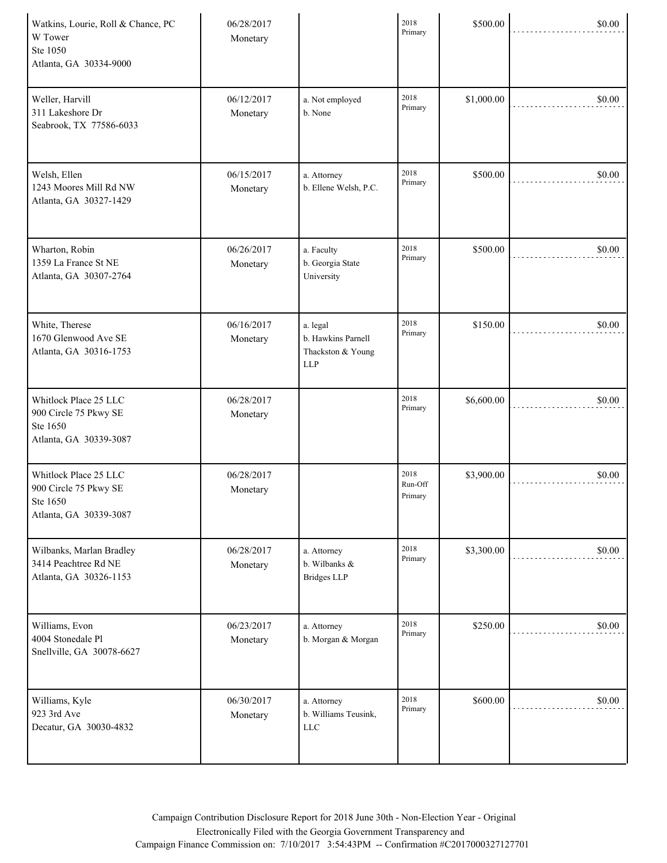| Watkins, Lourie, Roll & Chance, PC<br>W Tower<br>Ste 1050<br>Atlanta, GA 30334-9000  | 06/28/2017<br>Monetary |                                                                   | 2018<br>Primary            | \$500.00   | \$0.00 |
|--------------------------------------------------------------------------------------|------------------------|-------------------------------------------------------------------|----------------------------|------------|--------|
| Weller, Harvill<br>311 Lakeshore Dr<br>Seabrook, TX 77586-6033                       | 06/12/2017<br>Monetary | a. Not employed<br>b. None                                        | 2018<br>Primary            | \$1,000.00 | \$0.00 |
| Welsh, Ellen<br>1243 Moores Mill Rd NW<br>Atlanta, GA 30327-1429                     | 06/15/2017<br>Monetary | a. Attorney<br>b. Ellene Welsh, P.C.                              | 2018<br>Primary            | \$500.00   | \$0.00 |
| Wharton, Robin<br>1359 La France St NE<br>Atlanta, GA 30307-2764                     | 06/26/2017<br>Monetary | a. Faculty<br>b. Georgia State<br>University                      | 2018<br>Primary            | \$500.00   | \$0.00 |
| White, Therese<br>1670 Glenwood Ave SE<br>Atlanta, GA 30316-1753                     | 06/16/2017<br>Monetary | a. legal<br>b. Hawkins Parnell<br>Thackston & Young<br><b>LLP</b> | 2018<br>Primary            | \$150.00   | \$0.00 |
| Whitlock Place 25 LLC<br>900 Circle 75 Pkwy SE<br>Ste 1650<br>Atlanta, GA 30339-3087 | 06/28/2017<br>Monetary |                                                                   | 2018<br>Primary            | \$6,600.00 | \$0.00 |
| Whitlock Place 25 LLC<br>900 Circle 75 Pkwy SE<br>Ste 1650<br>Atlanta, GA 30339-3087 | 06/28/2017<br>Monetary |                                                                   | 2018<br>Run-Off<br>Primary | \$3,900.00 | \$0.00 |
| Wilbanks, Marlan Bradley<br>3414 Peachtree Rd NE<br>Atlanta, GA 30326-1153           | 06/28/2017<br>Monetary | a. Attorney<br>b. Wilbanks &<br><b>Bridges LLP</b>                | 2018<br>Primary            | \$3,300.00 | \$0.00 |
| Williams, Evon<br>4004 Stonedale Pl<br>Snellville, GA 30078-6627                     | 06/23/2017<br>Monetary | a. Attorney<br>b. Morgan & Morgan                                 | 2018<br>Primary            | \$250.00   | \$0.00 |
| Williams, Kyle<br>923 3rd Ave<br>Decatur, GA 30030-4832                              | 06/30/2017<br>Monetary | a. Attorney<br>b. Williams Teusink,<br>LLC                        | 2018<br>Primary            | \$600.00   | \$0.00 |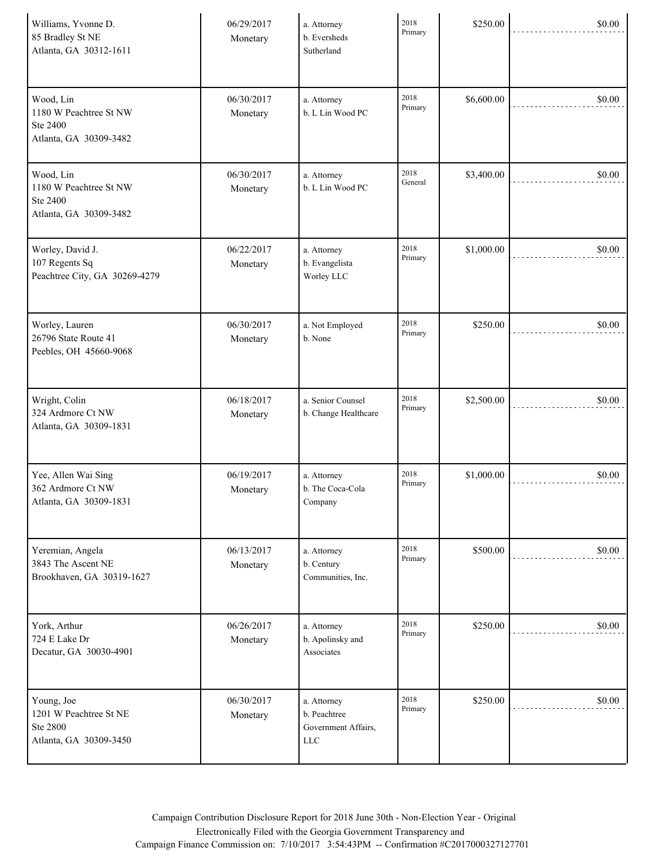| Williams, Yvonne D.<br>85 Bradley St NE<br>Atlanta, GA 30312-1611          | 06/29/2017<br>Monetary | a. Attorney<br>b. Eversheds<br>Sutherland                 | 2018<br>Primary | \$250.00   | \$0.00 |
|----------------------------------------------------------------------------|------------------------|-----------------------------------------------------------|-----------------|------------|--------|
| Wood, Lin<br>1180 W Peachtree St NW<br>Ste 2400<br>Atlanta, GA 30309-3482  | 06/30/2017<br>Monetary | a. Attorney<br>b. L Lin Wood PC                           | 2018<br>Primary | \$6,600.00 | \$0.00 |
| Wood, Lin<br>1180 W Peachtree St NW<br>Ste 2400<br>Atlanta, GA 30309-3482  | 06/30/2017<br>Monetary | a. Attorney<br>b. L Lin Wood PC                           | 2018<br>General | \$3,400.00 | \$0.00 |
| Worley, David J.<br>107 Regents Sq<br>Peachtree City, GA 30269-4279        | 06/22/2017<br>Monetary | a. Attorney<br>b. Evangelista<br>Worley LLC               | 2018<br>Primary | \$1,000.00 | \$0.00 |
| Worley, Lauren<br>26796 State Route 41<br>Peebles, OH 45660-9068           | 06/30/2017<br>Monetary | a. Not Employed<br>b. None                                | 2018<br>Primary | \$250.00   | \$0.00 |
| Wright, Colin<br>324 Ardmore Ct NW<br>Atlanta, GA 30309-1831               | 06/18/2017<br>Monetary | a. Senior Counsel<br>b. Change Healthcare                 | 2018<br>Primary | \$2,500.00 | \$0.00 |
| Yee, Allen Wai Sing<br>362 Ardmore Ct NW<br>Atlanta, GA 30309-1831         | 06/19/2017<br>Monetary | a. Attorney<br>b. The Coca-Cola<br>Company                | 2018<br>Primary | \$1,000.00 | \$0.00 |
| Yeremian, Angela<br>3843 The Ascent NE<br>Brookhaven, GA 30319-1627        | 06/13/2017<br>Monetary | a. Attorney<br>b. Century<br>Communities, Inc.            | 2018<br>Primary | \$500.00   | \$0.00 |
| York, Arthur<br>724 E Lake Dr<br>Decatur, GA 30030-4901                    | 06/26/2017<br>Monetary | a. Attorney<br>b. Apolinsky and<br>Associates             | 2018<br>Primary | \$250.00   | \$0.00 |
| Young, Joe<br>1201 W Peachtree St NE<br>Ste 2800<br>Atlanta, GA 30309-3450 | 06/30/2017<br>Monetary | a. Attorney<br>b. Peachtree<br>Government Affairs,<br>LLC | 2018<br>Primary | \$250.00   | \$0.00 |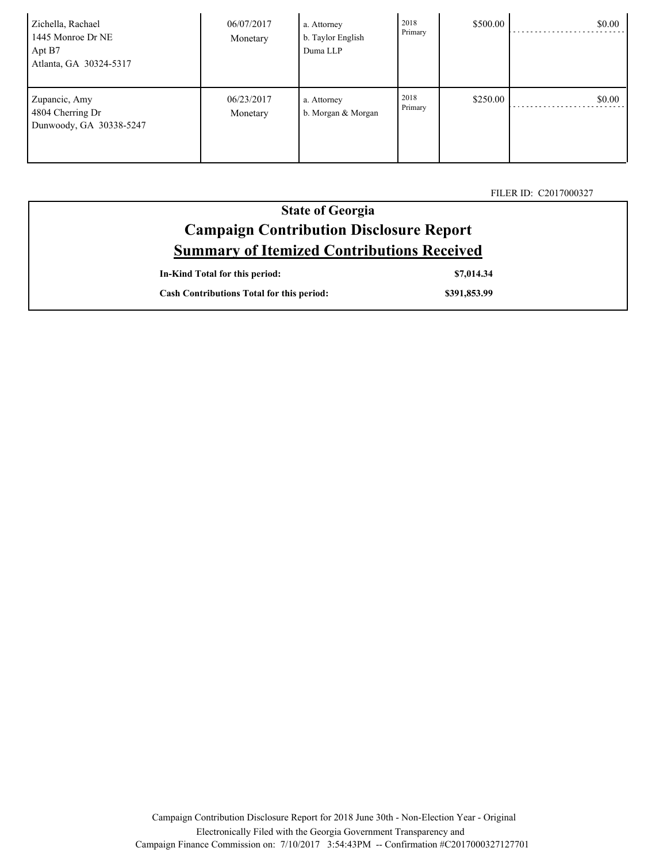| Zichella, Rachael<br>1445 Monroe Dr NE<br>Apt B7<br>Atlanta, GA 30324-5317 | 06/07/2017<br>Monetary | a. Attorney<br>b. Taylor English<br>Duma LLP | 2018<br>Primary | \$500.00 | \$0.00 |
|----------------------------------------------------------------------------|------------------------|----------------------------------------------|-----------------|----------|--------|
| Zupancic, Amy<br>4804 Cherring Dr<br>Dunwoody, GA 30338-5247               | 06/23/2017<br>Monetary | a. Attorney<br>b. Morgan & Morgan            | 2018<br>Primary | \$250.00 | \$0.00 |

FILER ID: C2017000327

| <b>State of Georgia</b>                           |  |  |  |
|---------------------------------------------------|--|--|--|
| <b>Campaign Contribution Disclosure Report</b>    |  |  |  |
| <b>Summary of Itemized Contributions Received</b> |  |  |  |
| In-Kind Total for this period:<br>\$7,014.34      |  |  |  |

| <b>Cash Contributions Total for this period:</b> | \$391,853.99 |
|--------------------------------------------------|--------------|

Campaign Contribution Disclosure Report for 2018 June 30th - Non-Election Year - Original Electronically Filed with the Georgia Government Transparency and Campaign Finance Commission on: 7/10/2017 3:54:43PM -- Confirmation #C2017000327127701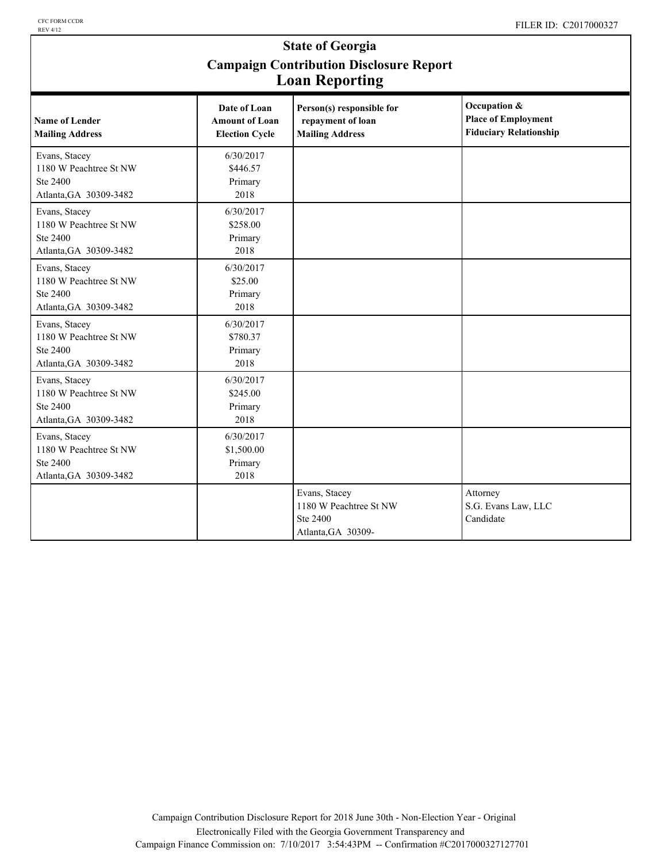### **State of Georgia Campaign Contribution Disclosure Report Loan Reporting**

|                                                                               |                                                                | o                                                                         |                                                                             |
|-------------------------------------------------------------------------------|----------------------------------------------------------------|---------------------------------------------------------------------------|-----------------------------------------------------------------------------|
| <b>Name of Lender</b><br><b>Mailing Address</b>                               | Date of Loan<br><b>Amount of Loan</b><br><b>Election Cycle</b> | Person(s) responsible for<br>repayment of loan<br><b>Mailing Address</b>  | Occupation &<br><b>Place of Employment</b><br><b>Fiduciary Relationship</b> |
| Evans, Stacey<br>1180 W Peachtree St NW<br>Ste 2400<br>Atlanta, GA 30309-3482 | 6/30/2017<br>\$446.57<br>Primary<br>2018                       |                                                                           |                                                                             |
| Evans, Stacey<br>1180 W Peachtree St NW<br>Ste 2400<br>Atlanta, GA 30309-3482 | 6/30/2017<br>\$258.00<br>Primary<br>2018                       |                                                                           |                                                                             |
| Evans, Stacey<br>1180 W Peachtree St NW<br>Ste 2400<br>Atlanta, GA 30309-3482 | 6/30/2017<br>\$25.00<br>Primary<br>2018                        |                                                                           |                                                                             |
| Evans, Stacey<br>1180 W Peachtree St NW<br>Ste 2400<br>Atlanta, GA 30309-3482 | 6/30/2017<br>\$780.37<br>Primary<br>2018                       |                                                                           |                                                                             |
| Evans, Stacey<br>1180 W Peachtree St NW<br>Ste 2400<br>Atlanta, GA 30309-3482 | 6/30/2017<br>\$245.00<br>Primary<br>2018                       |                                                                           |                                                                             |
| Evans, Stacey<br>1180 W Peachtree St NW<br>Ste 2400<br>Atlanta, GA 30309-3482 | 6/30/2017<br>\$1,500.00<br>Primary<br>2018                     |                                                                           |                                                                             |
|                                                                               |                                                                | Evans, Stacey<br>1180 W Peachtree St NW<br>Ste 2400<br>Atlanta, GA 30309- | Attorney<br>S.G. Evans Law, LLC<br>Candidate                                |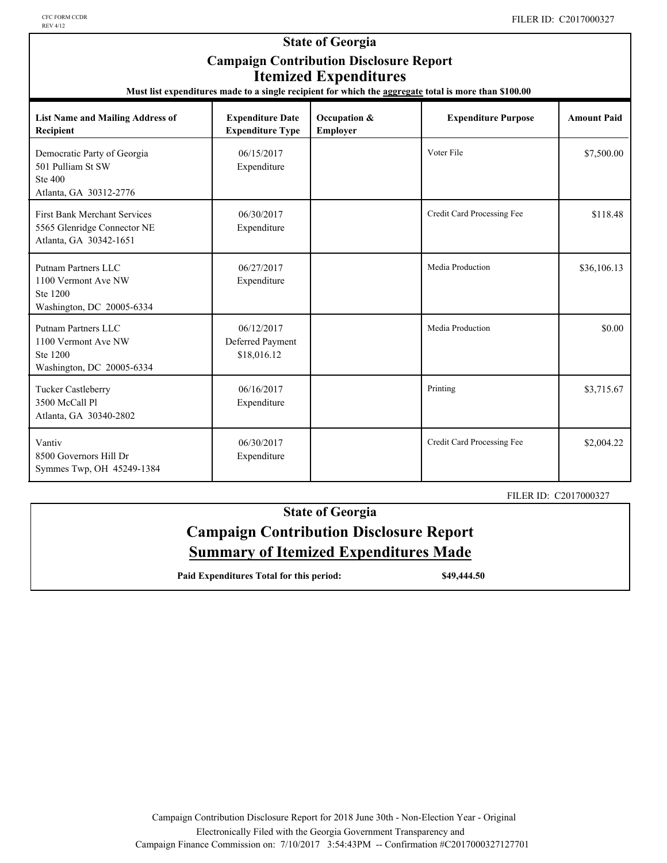| <b>State of Georgia</b><br><b>Campaign Contribution Disclosure Report</b><br><b>Itemized Expenditures</b><br>Must list expenditures made to a single recipient for which the aggregate total is more than \$100.00 |                                                    |                          |                            |                    |  |  |
|--------------------------------------------------------------------------------------------------------------------------------------------------------------------------------------------------------------------|----------------------------------------------------|--------------------------|----------------------------|--------------------|--|--|
| <b>List Name and Mailing Address of</b><br>Recipient                                                                                                                                                               | <b>Expenditure Date</b><br><b>Expenditure Type</b> | Occupation &<br>Employer | <b>Expenditure Purpose</b> | <b>Amount Paid</b> |  |  |
| Democratic Party of Georgia<br>501 Pulliam St SW<br><b>Ste 400</b><br>Atlanta, GA 30312-2776                                                                                                                       | 06/15/2017<br>Expenditure                          |                          | Voter File                 | \$7,500.00         |  |  |
| <b>First Bank Merchant Services</b><br>5565 Glenridge Connector NE<br>Atlanta, GA 30342-1651                                                                                                                       | 06/30/2017<br>Expenditure                          |                          | Credit Card Processing Fee | \$118.48           |  |  |
| Putnam Partners LLC<br>1100 Vermont Ave NW<br>Ste 1200<br>Washington, DC 20005-6334                                                                                                                                | 06/27/2017<br>Expenditure                          |                          | Media Production           | \$36,106.13        |  |  |
| <b>Putnam Partners LLC</b><br>1100 Vermont Ave NW<br>Ste 1200<br>Washington, DC 20005-6334                                                                                                                         | 06/12/2017<br>Deferred Payment<br>\$18,016.12      |                          | Media Production           | \$0.00             |  |  |
| <b>Tucker Castleberry</b><br>3500 McCall Pl<br>Atlanta, GA 30340-2802                                                                                                                                              | 06/16/2017<br>Expenditure                          |                          | Printing                   | \$3,715.67         |  |  |
| Vantiv<br>8500 Governors Hill Dr<br>Symmes Twp, OH 45249-1384                                                                                                                                                      | 06/30/2017<br>Expenditure                          |                          | Credit Card Processing Fee | \$2,004.22         |  |  |

#### FILER ID: C2017000327

## **State of Georgia Campaign Contribution Disclosure Report Summary of Itemized Expenditures Made**

**Paid Expenditures Total for this period: \$49,444.50**